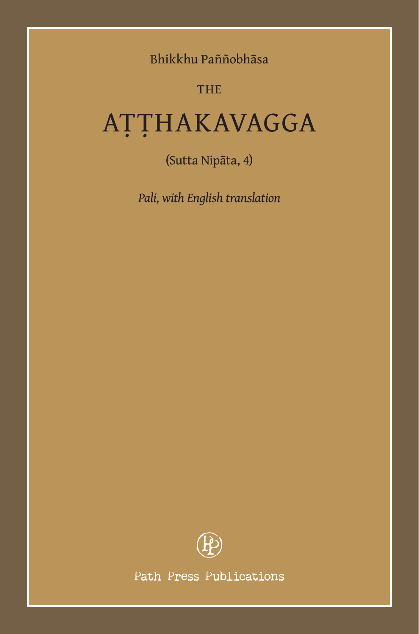Bhikkhu Paññobhāsa

# THE

# AṬṬHAKAVAGGA

(Sutta Nipāta, 4)

*Pali, with English translation*



Path Press Publications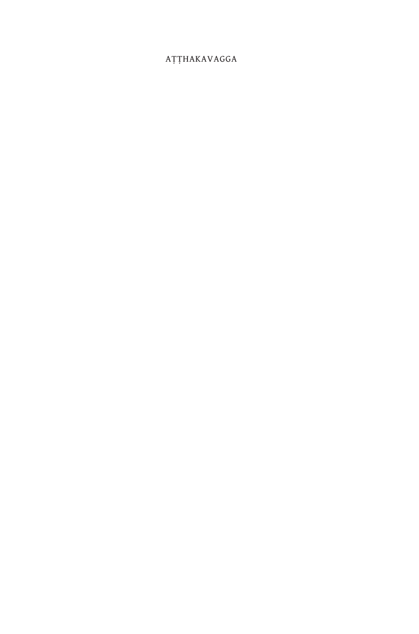#### AŢŢHAKAVAGGA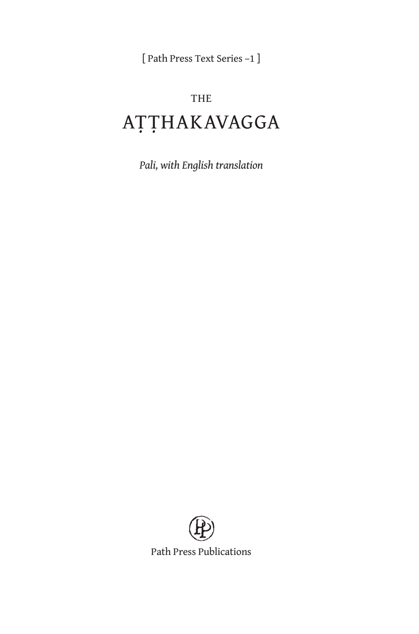[ Path Press Text Series –1 ]

# THE AṬṬHAKAVAGGA

*Pali, with English translation*



Path Press Publications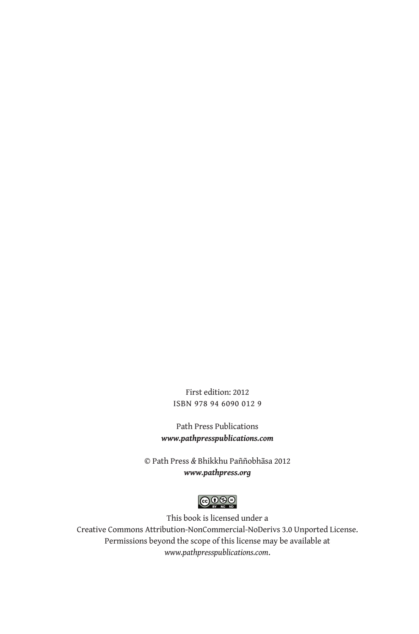First edition: 2012 ISBN 978 94 6090 012 9

Path Press Publications *www.pathpresspublications.com*

© Path Press *&* Bhikkhu Paññobhāsa 2012 *www.pathpress.org*



This book is licensed under a Creative Commons Attribution-NonCommercial-NoDerivs 3.0 Unported License. Permissions beyond the scope of this license may be available at *www.pathpresspublications.com*.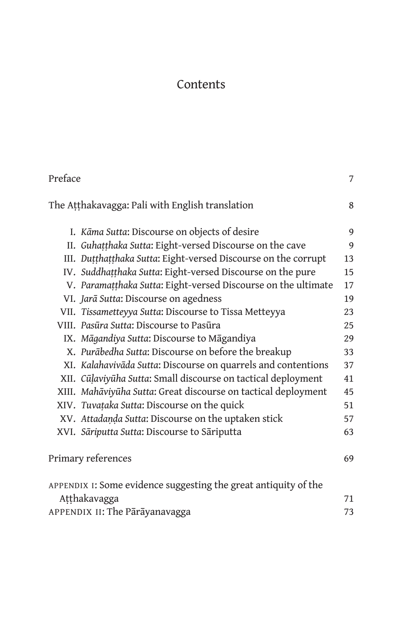# Contents

| Preface                                                         | 7  |
|-----------------------------------------------------------------|----|
| The Atthakavagga: Pali with English translation                 | 8  |
| I. Kāma Sutta: Discourse on objects of desire                   | 9  |
| II. Guhațțhaka Sutta: Eight-versed Discourse on the cave        | 9  |
| III. Dutthatthaka Sutta: Eight-versed Discourse on the corrupt  | 13 |
| IV. Suddhatthaka Sutta: Eight-versed Discourse on the pure      | 15 |
| V. Paramatthaka Sutta: Eight-versed Discourse on the ultimate   | 17 |
| VI. Jarā Sutta: Discourse on agedness                           | 19 |
| VII. Tissametteyya Sutta: Discourse to Tissa Metteyya           | 23 |
| VIII. Pasūra Sutta: Discourse to Pasūra                         | 25 |
| IX. Māgandiya Sutta: Discourse to Māgandiya                     | 29 |
| X. Purābedha Sutta: Discourse on before the breakup             | 33 |
| XI. Kalahavivāda Sutta: Discourse on quarrels and contentions   | 37 |
| XII. Cūļaviyūha Sutta: Small discourse on tactical deployment   | 41 |
| XIII. Mahāviyūha Sutta: Great discourse on tactical deployment  | 45 |
| XIV. Tuvațaka Sutta: Discourse on the quick                     | 51 |
| XV. Attadanda Sutta: Discourse on the uptaken stick             | 57 |
| XVI. Sāriputta Sutta: Discourse to Sāriputta                    | 63 |
| Primary references                                              | 69 |
| APPENDIX I: Some evidence suggesting the great antiquity of the |    |
| Atthakavagga                                                    | 71 |
| APPENDIX II: The Pārāyanavagga                                  | 73 |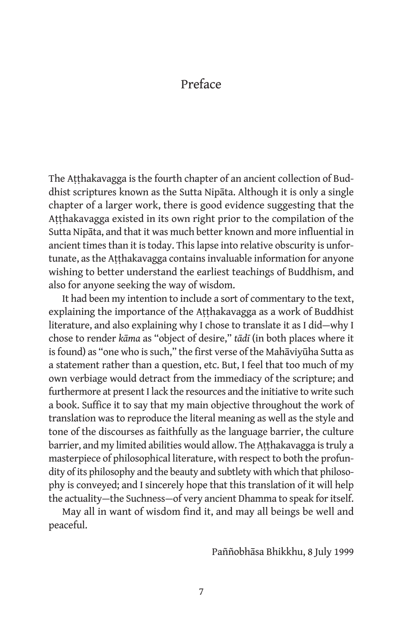## Preface

The Aṭṭhakavagga is the fourth chapter of an ancient collection of Buddhist scriptures known as the Sutta Nipāta. Although it is only a single chapter of a larger work, there is good evidence suggesting that the Aṭṭhakavagga existed in its own right prior to the compilation of the Sutta Nipāta, and that it was much better known and more influential in ancient times than it is today. This lapse into relative obscurity is unfortunate, as the Aṭṭhakavagga contains invaluable information for anyone wishing to better understand the earliest teachings of Buddhism, and also for anyone seeking the way of wisdom.

It had been my intention to include a sort of commentary to the text, explaining the importance of the Aṭṭhakavagga as a work of Buddhist literature, and also explaining why I chose to translate it as I did—why I chose to render *kāma* as "object of desire," *tādī* (in both places where it is found) as "one who is such," the first verse of the Mahāviyūha Sutta as a statement rather than a question, etc. But, I feel that too much of my own verbiage would detract from the immediacy of the scripture; and furthermore at present I lack the resources and the initiative to write such a book. Suffice it to say that my main objective throughout the work of translation was to reproduce the literal meaning as well as the style and tone of the discourses as faithfully as the language barrier, the culture barrier, and my limited abilities would allow. The Aṭṭhakavagga is truly a masterpiece of philosophical literature, with respect to both the profundity of its philosophy and the beauty and subtlety with which that philosophy is conveyed; and I sincerely hope that this translation of it will help the actuality—the Suchness—of very ancient Dhamma to speak for itself.

May all in want of wisdom find it, and may all beings be well and peaceful.

Paññobhāsa Bhikkhu, 8 July 1999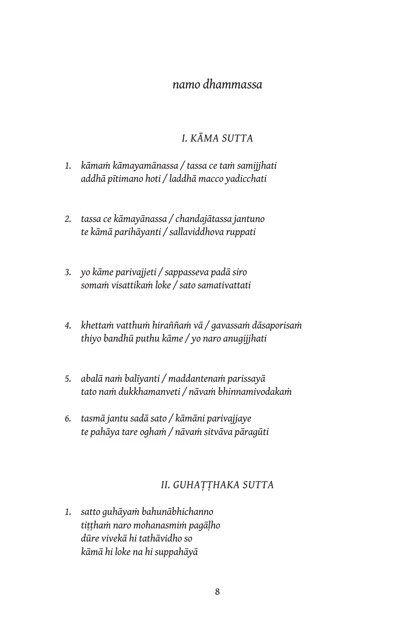# *namo dhammassa*

#### *I. KĀMA SUTTA*

- *1. kāmaṁ kāmayamānassa / tassa ce taṁ samijjhati addhā pītimano hoti / laddhā macco yadicchati*
- *2. tassa ce kāmayānassa / chandajātassa jantuno te kāmā parihāyanti / sallaviddhova ruppati*
- *3. yo kāme parivajjeti / sappasseva padā siro somaṁ visattikaṁ loke / sato samativattati*
- *4. khettaṁ vatthuṁ hiraññaṁ vā / gavassaṁ dāsaporisaṁ thiyo bandhū puthu kāme / yo naro anugijjhati*
- *5. abalā naṁ balīyanti / maddantenaṁ parissayā tato naṁ dukkhamanveti / nāvaṁ bhinnamivodakaṁ*
- *6. tasmā jantu sadā sato / kāmāni parivajjaye te pahāya tare oghaṁ / nāvaṁ sitvāva pāragūti*

#### *II. GUHAṬṬHAKA SUTTA*

*1. satto guhāyaṁ bahunābhichanno tiṭṭhaṁ naro mohanasmiṁ pagāḷho dūre vivekā hi tathāvidho so kāmā hi loke na hi suppahāyā*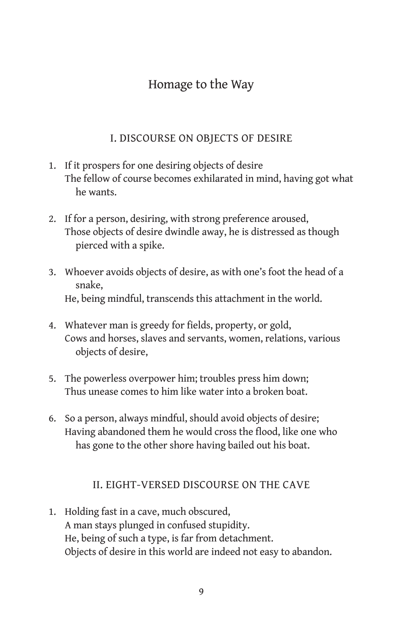# Homage to the Way

#### I. DISCOURSE ON OBJECTS OF DESIRE

- 1. If it prospers for one desiring objects of desire The fellow of course becomes exhilarated in mind, having got what he wants.
- 2. If for a person, desiring, with strong preference aroused, Those objects of desire dwindle away, he is distressed as though pierced with a spike.
- 3. Whoever avoids objects of desire, as with one's foot the head of a snake, He, being mindful, transcends this attachment in the world.
- 4. Whatever man is greedy for fields, property, or gold, Cows and horses, slaves and servants, women, relations, various objects of desire,
- 5. The powerless overpower him; troubles press him down; Thus unease comes to him like water into a broken boat.
- 6. So a person, always mindful, should avoid objects of desire; Having abandoned them he would cross the flood, like one who has gone to the other shore having bailed out his boat.

#### II. EIGHT-VERSED DISCOURSE ON THE CAVE

1. Holding fast in a cave, much obscured, A man stays plunged in confused stupidity. He, being of such a type, is far from detachment. Objects of desire in this world are indeed not easy to abandon.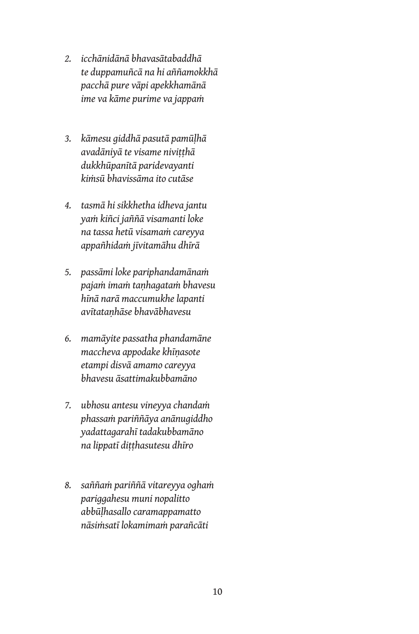- *2. icchānidānā bhavasātabaddhā te duppamuñcā na hi aññamokkhā pacchā pure vāpi apekkhamānā ime va kāme purime va jappaṁ*
- *3. kāmesu giddhā pasutā pamūḷhā avadāniyā te visame niviṭṭhā dukkhūpanītā paridevayanti kiṁsū bhavissāma ito cutāse*
- *4. tasmā hi sikkhetha idheva jantu yaṁ kiñci jaññā visamanti loke na tassa hetū visamaṁ careyya appañhidaṁ jīvitamāhu dhīrā*
- *5. passāmi loke pariphandamānaṁ pajaṁ imaṁ taṇhagataṁ bhavesu hīnā narā maccumukhe lapanti avītataṇhāse bhavābhavesu*
- *6. mamāyite passatha phandamāne maccheva appodake khīṇasote etampi disvā amamo careyya bhavesu āsattimakubbamāno*
- *7. ubhosu antesu vineyya chandaṁ phassaṁ pariññāya anānugiddho yadattagarahī tadakubbamāno na lippatī diṭṭhasutesu dhīro*
- *8. saññaṁ pariññā vitareyya oghaṁ pariggahesu muni nopalitto abbūḷhasallo caramappamatto nāsiṁsatī lokamimaṁ parañcāti*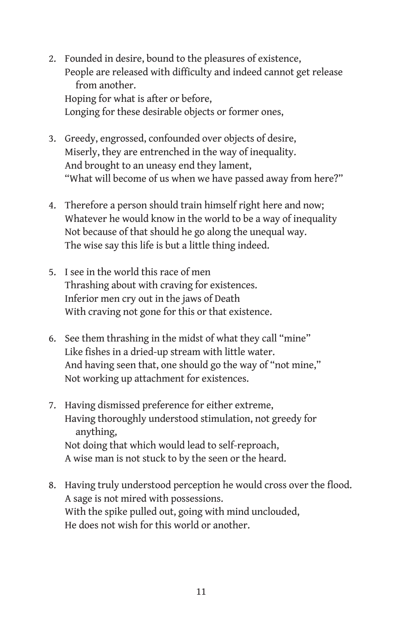- 2. Founded in desire, bound to the pleasures of existence, People are released with difficulty and indeed cannot get release from another. Hoping for what is after or before, Longing for these desirable objects or former ones,
- 3. Greedy, engrossed, confounded over objects of desire, Miserly, they are entrenched in the way of inequality. And brought to an uneasy end they lament, "What will become of us when we have passed away from here?"
- 4. Therefore a person should train himself right here and now; Whatever he would know in the world to be a way of inequality Not because of that should he go along the unequal way. The wise say this life is but a little thing indeed.
- 5. I see in the world this race of men Thrashing about with craving for existences. Inferior men cry out in the jaws of Death With craving not gone for this or that existence.
- 6. See them thrashing in the midst of what they call "mine" Like fishes in a dried-up stream with little water. And having seen that, one should go the way of "not mine," Not working up attachment for existences.
- 7. Having dismissed preference for either extreme, Having thoroughly understood stimulation, not greedy for anything, Not doing that which would lead to self-reproach, A wise man is not stuck to by the seen or the heard.
- 8. Having truly understood perception he would cross over the flood. A sage is not mired with possessions. With the spike pulled out, going with mind unclouded, He does not wish for this world or another.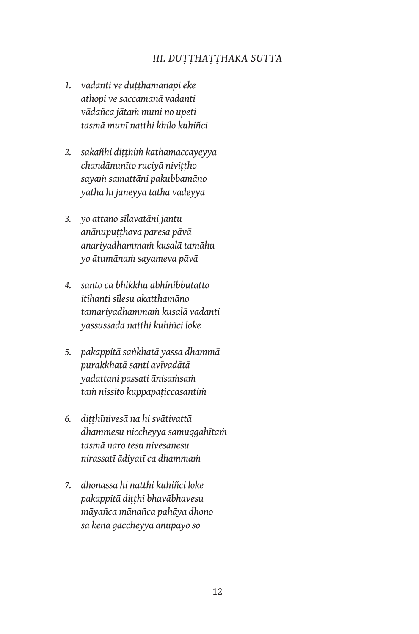#### *III. DUṬṬHAṬṬHAKA SUTTA*

- *1. vadanti ve duṭṭhamanāpi eke athopi ve saccamanā vadanti vādañca jātaṁ muni no upeti tasmā munī natthi khilo kuhiñci*
- *2. sakañhi diṭṭhiṁ kathamaccayeyya chandānunīto ruciyā niviṭṭho sayaṁ samattāni pakubbamāno yathā hi jāneyya tathā vadeyya*
- *3. yo attano sīlavatāni jantu anānupuṭṭhova paresa pāvā anariyadhammaṁ kusalā tamāhu yo ātumānaṁ sayameva pāvā*
- *4. santo ca bhikkhu abhinibbutatto itihanti sīlesu akatthamāno tamariyadhammaṁ kusalā vadanti yassussadā natthi kuhiñci loke*
- *5. pakappitā saṅkhatā yassa dhammā purakkhatā santi avīvadātā yadattani passati ānisaṁsaṁ taṁ nissito kuppapaṭiccasantiṁ*
- *6. diṭṭhīnivesā na hi svātivattā dhammesu niccheyya samuggahītaṁ tasmā naro tesu nivesanesu nirassatī ādiyatī ca dhammaṁ*
- *7. dhonassa hi natthi kuhiñci loke pakappitā diṭṭhi bhavābhavesu māyañca mānañca pahāya dhono sa kena gaccheyya anūpayo so*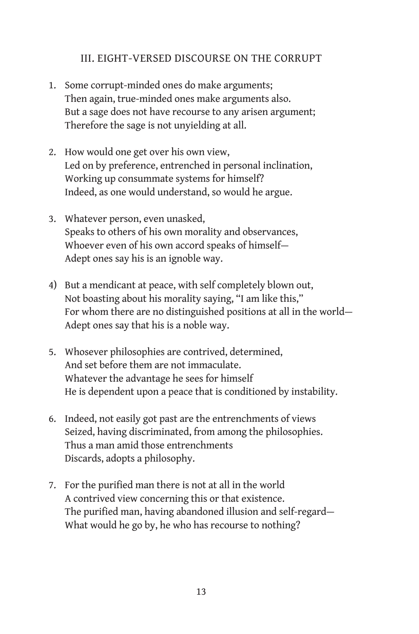#### III. EIGHT-VERSED DISCOURSE ON THE CORRUPT

- 1. Some corrupt-minded ones do make arguments; Then again, true-minded ones make arguments also. But a sage does not have recourse to any arisen argument; Therefore the sage is not unyielding at all.
- 2. How would one get over his own view, Led on by preference, entrenched in personal inclination, Working up consummate systems for himself? Indeed, as one would understand, so would he argue.
- 3. Whatever person, even unasked, Speaks to others of his own morality and observances, Whoever even of his own accord speaks of himself— Adept ones say his is an ignoble way.
- 4) But a mendicant at peace, with self completely blown out, Not boasting about his morality saying, "I am like this," For whom there are no distinguished positions at all in the world— Adept ones say that his is a noble way.
- 5. Whosever philosophies are contrived, determined, And set before them are not immaculate. Whatever the advantage he sees for himself He is dependent upon a peace that is conditioned by instability.
- 6. Indeed, not easily got past are the entrenchments of views Seized, having discriminated, from among the philosophies. Thus a man amid those entrenchments Discards, adopts a philosophy.
- 7. For the purified man there is not at all in the world A contrived view concerning this or that existence. The purified man, having abandoned illusion and self-regard— What would he go by, he who has recourse to nothing?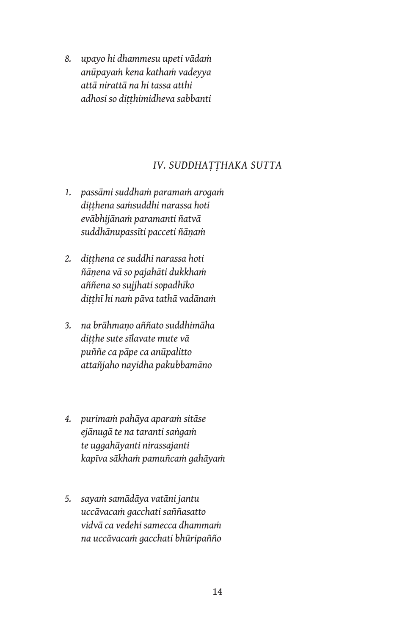*8. upayo hi dhammesu upeti vādaṁ anūpayaṁ kena kathaṁ vadeyya attā nirattā na hi tassa atthi adhosi so diṭṭhimidheva sabbanti*

#### *IV. SUDDHAṬṬHAKA SUTTA*

- *1. passāmi suddhaṁ paramaṁ arogaṁ diṭṭhena saṁsuddhi narassa hoti evābhijānaṁ paramanti ñatvā suddhānupassīti pacceti ñāṇaṁ*
- *2. diṭṭhena ce suddhi narassa hoti ñāṇena vā so pajahāti dukkhaṁ aññena so sujjhati sopadhīko diṭṭhī hi naṁ pāva tathā vadānaṁ*
- *3. na brāhmaṇo aññato suddhimāha diṭṭhe sute sīlavate mute vā puññe ca pāpe ca anūpalitto attañjaho nayidha pakubbamāno*
- *4. purimaṁ pahāya aparaṁ sitāse ejānugā te na taranti saṅgaṁ te uggahāyanti nirassajanti kapīva sākhaṁ pamuñcaṁ gahāyaṁ*
- *5. sayaṁ samādāya vatāni jantu uccāvacaṁ gacchati saññasatto vidvā ca vedehi samecca dhammaṁ na uccāvacaṁ gacchati bhūripañño*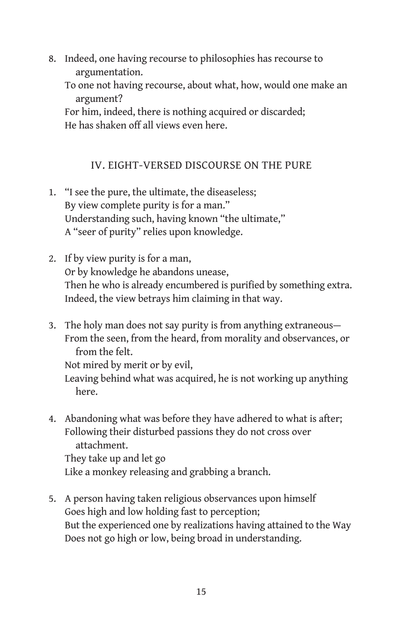- 8. Indeed, one having recourse to philosophies has recourse to argumentation.
	- To one not having recourse, about what, how, would one make an argument?

For him, indeed, there is nothing acquired or discarded; He has shaken off all views even here.

#### IV. EIGHT-VERSED DISCOURSE ON THE PURE

- 1. "I see the pure, the ultimate, the diseaseless; By view complete purity is for a man." Understanding such, having known "the ultimate," A "seer of purity" relies upon knowledge.
- 2. If by view purity is for a man, Or by knowledge he abandons unease, Then he who is already encumbered is purified by something extra. Indeed, the view betrays him claiming in that way.
- 3. The holy man does not say purity is from anything extraneous— From the seen, from the heard, from morality and observances, or from the felt.

Not mired by merit or by evil,

Leaving behind what was acquired, he is not working up anything here.

4. Abandoning what was before they have adhered to what is after; Following their disturbed passions they do not cross over attachment. They take up and let go

Like a monkey releasing and grabbing a branch.

5. A person having taken religious observances upon himself Goes high and low holding fast to perception; But the experienced one by realizations having attained to the Way Does not go high or low, being broad in understanding.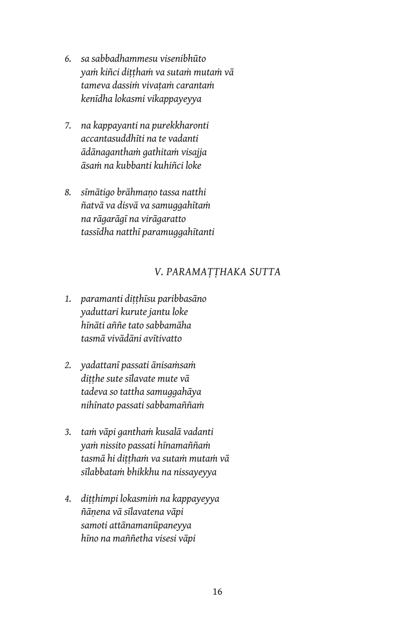- *6. sa sabbadhammesu visenibhūto yaṁ kiñci diṭṭhaṁ va sutaṁ mutaṁ vā tameva dassiṁ vivaṭaṁ carantaṁ kenīdha lokasmi vikappayeyya*
- *7. na kappayanti na purekkharonti accantasuddhīti na te vadanti ādānaganthaṁ gathitaṁ visajja āsaṁ na kubbanti kuhiñci loke*
- *8. sīmātigo brāhmaṇo tassa natthi ñatvā va disvā va samuggahītaṁ na rāgarāgī na virāgaratto tassīdha natthī paramuggahītanti*

#### *V. PARAMAṬṬHAKA SUTTA*

- *1. paramanti diṭṭhīsu paribbasāno yaduttari kurute jantu loke hīnāti aññe tato sabbamāha tasmā vivādāni avītivatto*
- *2. yadattanī passati ānisaṁsaṁ diṭṭhe sute sīlavate mute vā tadeva so tattha samuggahāya nihīnato passati sabbamaññaṁ*
- *3. taṁ vāpi ganthaṁ kusalā vadanti yaṁ nissito passati hīnamaññaṁ tasmā hi diṭṭhaṁ va sutaṁ mutaṁ vā sīlabbataṁ bhikkhu na nissayeyya*
- *4. diṭṭhimpi lokasmiṁ na kappayeyya ñāṇena vā sīlavatena vāpi samoti attānamanūpaneyya hīno na maññetha visesi vāpi*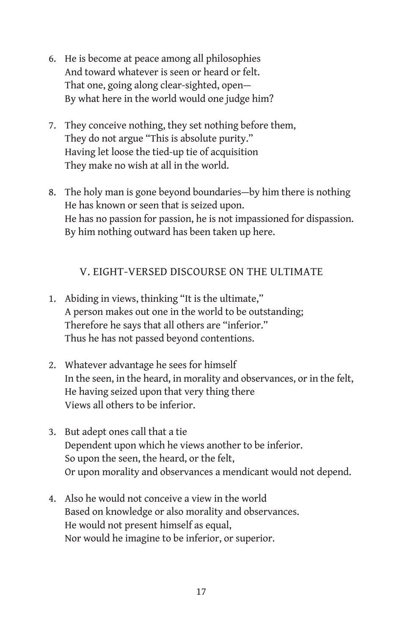- 6. He is become at peace among all philosophies And toward whatever is seen or heard or felt. That one, going along clear-sighted, open— By what here in the world would one judge him?
- 7. They conceive nothing, they set nothing before them, They do not argue "This is absolute purity." Having let loose the tied-up tie of acquisition They make no wish at all in the world.
- 8. The holy man is gone beyond boundaries—by him there is nothing He has known or seen that is seized upon. He has no passion for passion, he is not impassioned for dispassion. By him nothing outward has been taken up here.

#### V. EIGHT-VERSED DISCOURSE ON THE ULTIMATE

- 1. Abiding in views, thinking "It is the ultimate," A person makes out one in the world to be outstanding; Therefore he says that all others are "inferior." Thus he has not passed beyond contentions.
- 2. Whatever advantage he sees for himself In the seen, in the heard, in morality and observances, or in the felt, He having seized upon that very thing there Views all others to be inferior.
- 3. But adept ones call that a tie Dependent upon which he views another to be inferior. So upon the seen, the heard, or the felt, Or upon morality and observances a mendicant would not depend.
- 4. Also he would not conceive a view in the world Based on knowledge or also morality and observances. He would not present himself as equal, Nor would he imagine to be inferior, or superior.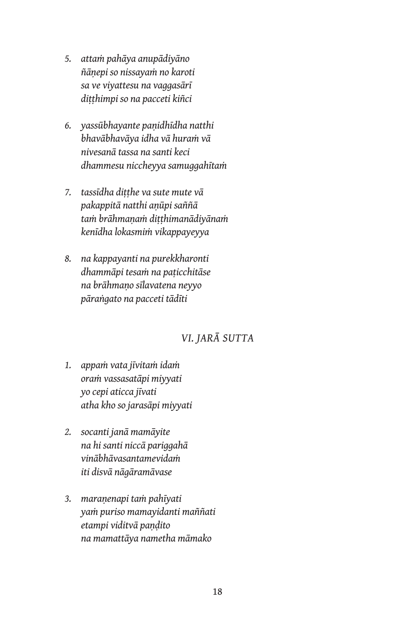- *5. attaṁ pahāya anupādiyāno ñāṇepi so nissayaṁ no karoti sa ve viyattesu na vaggasārī diṭṭhimpi so na pacceti kiñci*
- *6. yassūbhayante paṇidhīdha natthi bhavābhavāya idha vā huraṁ vā nivesanā tassa na santi keci dhammesu niccheyya samuggahītaṁ*
- *7. tassīdha diṭṭhe va sute mute vā pakappitā natthi aṇūpi saññā taṁ brāhmaṇaṁ diṭṭhimanādiyānaṁ kenīdha lokasmiṁ vikappayeyya*
- *8. na kappayanti na purekkharonti dhammāpi tesaṁ na paṭicchitāse na brāhmaṇo sīlavatena neyyo pāraṅgato na pacceti tādīti*

## *VI. JARĀ SUTTA*

- *1. appaṁ vata jīvitaṁ idaṁ oraṁ vassasatāpi miyyati yo cepi aticca jīvati atha kho so jarasāpi miyyati*
- *2. socanti janā mamāyite na hi santi niccā pariggahā vinābhāvasantamevidaṁ iti disvā nāgāramāvase*
- *3. maraṇenapi taṁ pahīyati yaṁ puriso mamayidanti maññati etampi viditvā paṇḍito na mamattāya nametha māmako*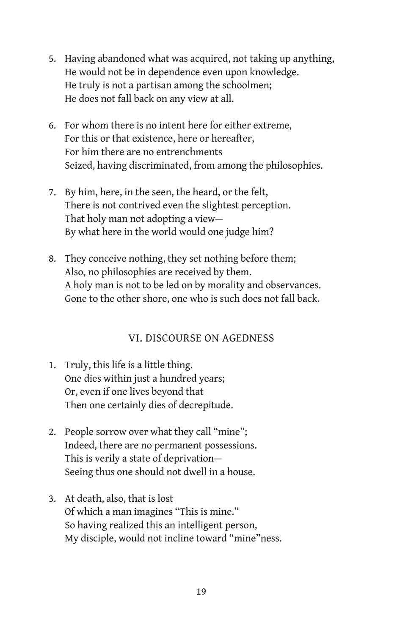- 5. Having abandoned what was acquired, not taking up anything, He would not be in dependence even upon knowledge. He truly is not a partisan among the schoolmen; He does not fall back on any view at all.
- 6. For whom there is no intent here for either extreme, For this or that existence, here or hereafter, For him there are no entrenchments Seized, having discriminated, from among the philosophies.
- 7. By him, here, in the seen, the heard, or the felt, There is not contrived even the slightest perception. That holy man not adopting a view— By what here in the world would one judge him?
- 8. They conceive nothing, they set nothing before them; Also, no philosophies are received by them. A holy man is not to be led on by morality and observances. Gone to the other shore, one who is such does not fall back.

#### VI. DISCOURSE ON AGEDNESS

- 1. Truly, this life is a little thing. One dies within just a hundred years; Or, even if one lives beyond that Then one certainly dies of decrepitude.
- 2. People sorrow over what they call "mine"; Indeed, there are no permanent possessions. This is verily a state of deprivation— Seeing thus one should not dwell in a house.
- 3. At death, also, that is lost Of which a man imagines "This is mine." So having realized this an intelligent person, My disciple, would not incline toward "mine"ness.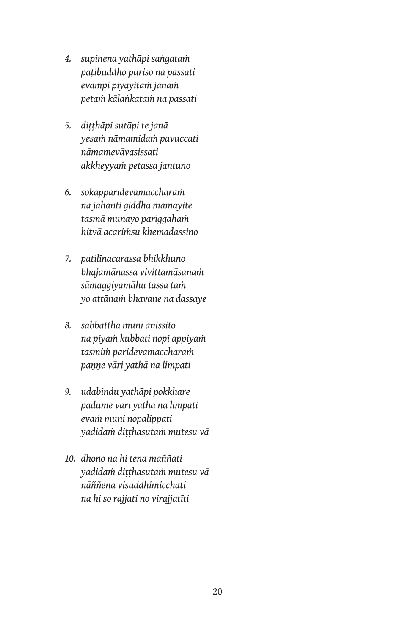- *4. supinena yathāpi saṅgataṁ paṭibuddho puriso na passati evampi piyāyitaṁ janaṁ petaṁ kālaṅkataṁ na passati*
- *5. diṭṭhāpi sutāpi te janā yesaṁ nāmamidaṁ pavuccati nāmamevāvasissati akkheyyaṁ petassa jantuno*
- *6. sokapparidevamaccharaṁ na jahanti giddhā mamāyite tasmā munayo pariggahaṁ hitvā acariṁsu khemadassino*
- *7. patilīnacarassa bhikkhuno bhajamānassa vivittamāsanaṁ sāmaggiyamāhu tassa taṁ yo attānaṁ bhavane na dassaye*
- *8. sabbattha munī anissito na piyaṁ kubbati nopi appiyaṁ tasmiṁ paridevamaccharaṁ paṇṇe vāri yathā na limpati*
- *9. udabindu yathāpi pokkhare padume vāri yathā na limpati evaṁ muni nopalippati yadidaṁ diṭṭhasutaṁ mutesu vā*
- *10. dhono na hi tena maññati yadidaṁ diṭṭhasutaṁ mutesu vā nāññena visuddhimicchati na hi so rajjati no virajjatīti*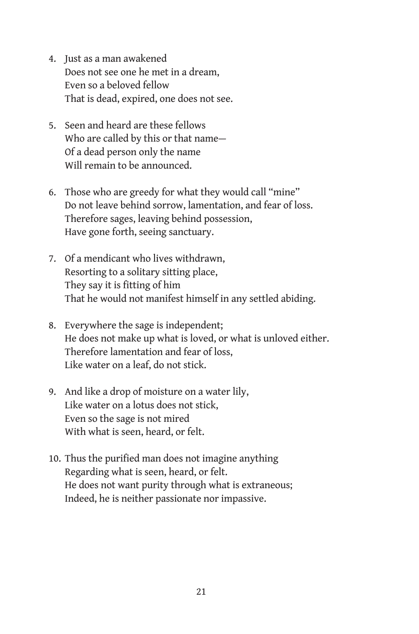- 4. Just as a man awakened Does not see one he met in a dream, Even so a beloved fellow That is dead, expired, one does not see.
- 5. Seen and heard are these fellows Who are called by this or that name— Of a dead person only the name Will remain to be announced.
- 6. Those who are greedy for what they would call "mine" Do not leave behind sorrow, lamentation, and fear of loss. Therefore sages, leaving behind possession, Have gone forth, seeing sanctuary.
- 7. Of a mendicant who lives withdrawn, Resorting to a solitary sitting place, They say it is fitting of him That he would not manifest himself in any settled abiding.
- 8. Everywhere the sage is independent; He does not make up what is loved, or what is unloved either. Therefore lamentation and fear of loss, Like water on a leaf, do not stick.
- 9. And like a drop of moisture on a water lily, Like water on a lotus does not stick, Even so the sage is not mired With what is seen, heard, or felt.
- 10. Thus the purified man does not imagine anything Regarding what is seen, heard, or felt. He does not want purity through what is extraneous; Indeed, he is neither passionate nor impassive.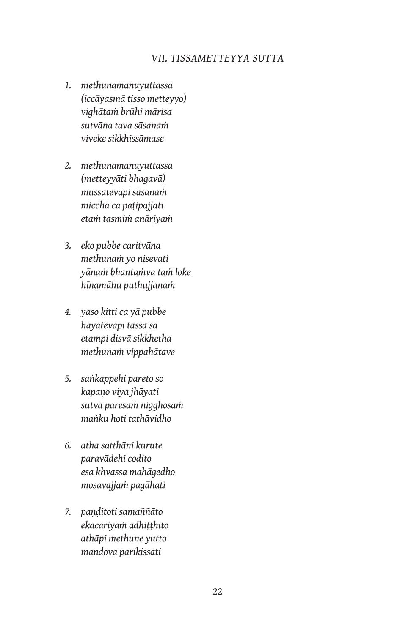#### *VII. TISSAMETTEYYA SUTTA*

- *1. methunamanuyuttassa (iccāyasmā tisso metteyyo) vighātaṁ brūhi mārisa sutvāna tava sāsanaṁ viveke sikkhissāmase*
- *2. methunamanuyuttassa (metteyyāti bhagavā) mussatevāpi sāsanaṁ micchā ca paṭipajjati etaṁ tasmiṁ anāriyaṁ*
- *3. eko pubbe caritvāna methunaṁ yo nisevati yānaṁ bhantaṁva taṁ loke hīnamāhu puthujjanaṁ*
- *4. yaso kitti ca yā pubbe hāyatevāpi tassa sā etampi disvā sikkhetha methunaṁ vippahātave*
- *5. saṅkappehi pareto so kapaṇo viya jhāyati sutvā paresaṁ nigghosaṁ maṅku hoti tathāvidho*
- *6. atha satthāni kurute paravādehi codito esa khvassa mahāgedho mosavajjaṁ pagāhati*
- *7. paṇḍitoti samaññāto ekacariyaṁ adhiṭṭhito athāpi methune yutto mandova parikissati*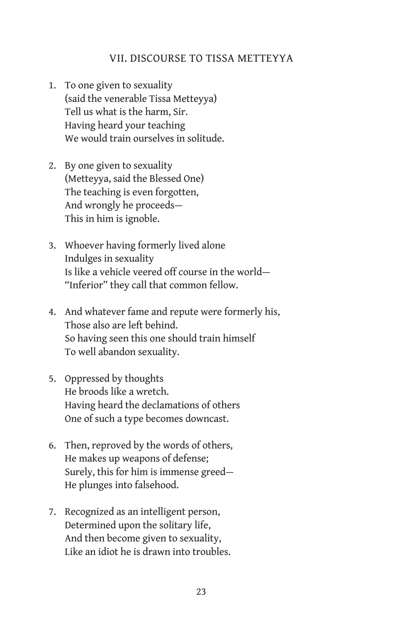#### VII. DISCOURSE TO TISSA METTEYYA

- 1. To one given to sexuality (said the venerable Tissa Metteyya) Tell us what is the harm, Sir. Having heard your teaching We would train ourselves in solitude.
- 2. By one given to sexuality (Metteyya, said the Blessed One) The teaching is even forgotten, And wrongly he proceeds— This in him is ignoble.
- 3. Whoever having formerly lived alone Indulges in sexuality Is like a vehicle veered off course in the world— "Inferior" they call that common fellow.
- 4. And whatever fame and repute were formerly his, Those also are left behind. So having seen this one should train himself To well abandon sexuality.
- 5. Oppressed by thoughts He broods like a wretch. Having heard the declamations of others One of such a type becomes downcast.
- 6. Then, reproved by the words of others, He makes up weapons of defense; Surely, this for him is immense greed— He plunges into falsehood.
- 7. Recognized as an intelligent person, Determined upon the solitary life, And then become given to sexuality, Like an idiot he is drawn into troubles.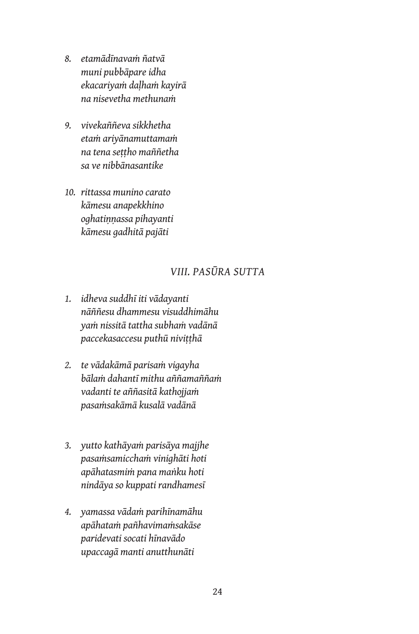- *8. etamādīnavaṁ ñatvā muni pubbāpare idha ekacariyaṁ daḷhaṁ kayirā na nisevetha methunaṁ*
- *9. vivekaññeva sikkhetha etaṁ ariyānamuttamaṁ na tena seṭṭho maññetha sa ve nibbānasantike*
- *10. rittassa munino carato kāmesu anapekkhino oghatiṇṇassa pihayanti kāmesu gadhitā pajāti*

#### *VIII. PASŪRA SUTTA*

- *1. idheva suddhī iti vādayanti nāññesu dhammesu visuddhimāhu yaṁ nissitā tattha subhaṁ vadānā paccekasaccesu puthū niviṭṭhā*
- *2. te vādakāmā parisaṁ vigayha bālaṁ dahantī mithu aññamaññaṁ vadanti te aññasitā kathojjaṁ pasaṁsakāmā kusalā vadānā*
- *3. yutto kathāyaṁ parisāya majjhe pasaṁsamicchaṁ vinighāti hoti apāhatasmiṁ pana maṅku hoti nindāya so kuppati randhamesī*
- *4. yamassa vādaṁ parihīnamāhu apāhataṁ pañhavimaṁsakāse paridevati socati hīnavādo upaccagā manti anutthunāti*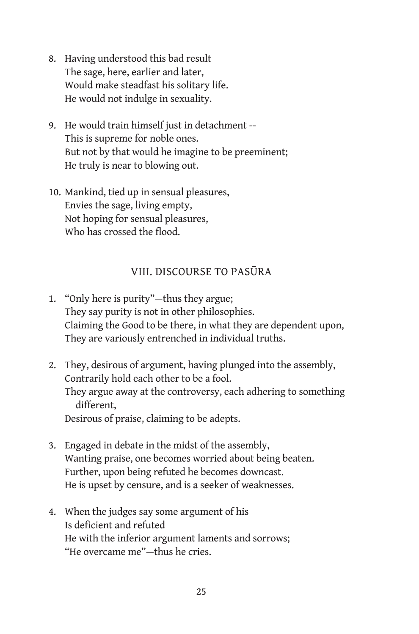- 8. Having understood this bad result The sage, here, earlier and later, Would make steadfast his solitary life. He would not indulge in sexuality.
- 9. He would train himself just in detachment -- This is supreme for noble ones. But not by that would he imagine to be preeminent; He truly is near to blowing out.
- 10. Mankind, tied up in sensual pleasures, Envies the sage, living empty, Not hoping for sensual pleasures, Who has crossed the flood.

#### VIII. DISCOURSE TO PASŪRA

- 1. "Only here is purity"—thus they argue; They say purity is not in other philosophies. Claiming the Good to be there, in what they are dependent upon, They are variously entrenched in individual truths.
- 2. They, desirous of argument, having plunged into the assembly, Contrarily hold each other to be a fool. They argue away at the controversy, each adhering to something different, Desirous of praise, claiming to be adepts.
- 3. Engaged in debate in the midst of the assembly, Wanting praise, one becomes worried about being beaten. Further, upon being refuted he becomes downcast. He is upset by censure, and is a seeker of weaknesses.
- 4. When the judges say some argument of his Is deficient and refuted He with the inferior argument laments and sorrows; "He overcame me"—thus he cries.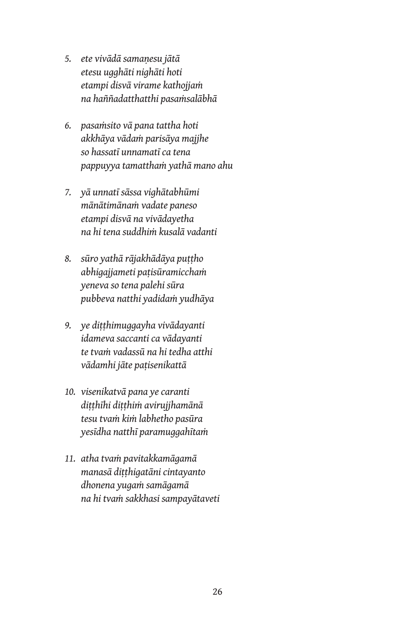- *5. ete vivādā samaṇesu jātā etesu ugghāti nighāti hoti etampi disvā virame kathojjaṁ na haññadatthatthi pasaṁsalābhā*
- *6. pasaṁsito vā pana tattha hoti akkhāya vādaṁ parisāya majjhe so hassatī unnamatī ca tena pappuyya tamatthaṁ yathā mano ahu*
- *7. yā unnatī sāssa vighātabhūmi mānātimānaṁ vadate paneso etampi disvā na vivādayetha na hi tena suddhiṁ kusalā vadanti*
- *8. sūro yathā rājakhādāya puṭṭho abhigajjameti paṭisūramicchaṁ yeneva so tena palehi sūra pubbeva natthi yadidaṁ yudhāya*
- *9. ye diṭṭhimuggayha vivādayanti idameva saccanti ca vādayanti te tvaṁ vadassū na hi tedha atthi vādamhi jāte paṭisenikattā*
- *10. visenikatvā pana ye caranti diṭṭhīhi diṭṭhiṁ avirujjhamānā tesu tvaṁ kiṁ labhetho pasūra yesīdha natthī paramuggahītaṁ*
- *11. atha tvaṁ pavitakkamāgamā manasā diṭṭhigatāni cintayanto dhonena yugaṁ samāgamā na hi tvaṁ sakkhasi sampayātaveti*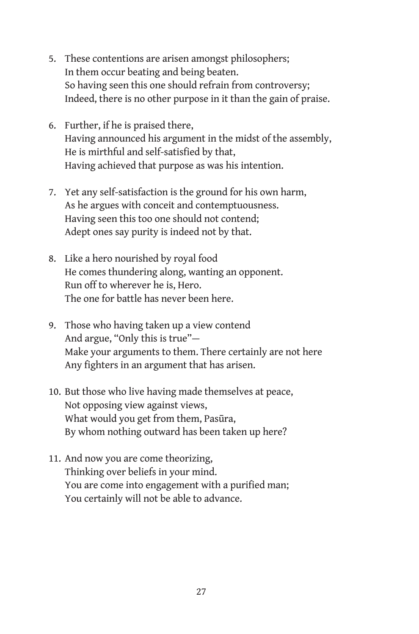- 5. These contentions are arisen amongst philosophers; In them occur beating and being beaten. So having seen this one should refrain from controversy; Indeed, there is no other purpose in it than the gain of praise.
- 6. Further, if he is praised there, Having announced his argument in the midst of the assembly, He is mirthful and self-satisfied by that, Having achieved that purpose as was his intention.
- 7. Yet any self-satisfaction is the ground for his own harm, As he argues with conceit and contemptuousness. Having seen this too one should not contend; Adept ones say purity is indeed not by that.
- 8. Like a hero nourished by royal food He comes thundering along, wanting an opponent. Run off to wherever he is, Hero. The one for battle has never been here.
- 9. Those who having taken up a view contend And argue, "Only this is true"— Make your arguments to them. There certainly are not here Any fighters in an argument that has arisen.
- 10. But those who live having made themselves at peace, Not opposing view against views, What would you get from them, Pasūra, By whom nothing outward has been taken up here?
- 11. And now you are come theorizing, Thinking over beliefs in your mind. You are come into engagement with a purified man; You certainly will not be able to advance.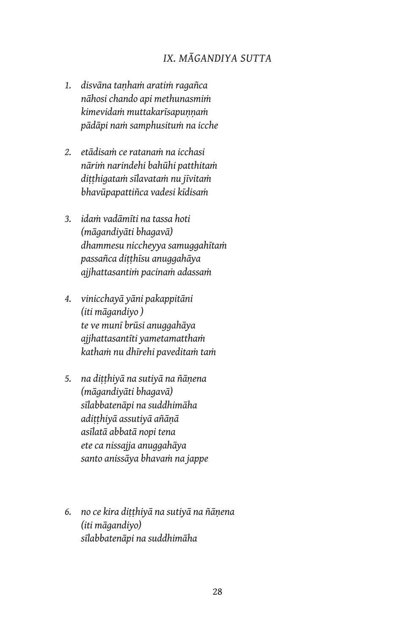#### *IX. MĀGANDIYA SUTTA*

- *1. disvāna taṇhaṁ aratiṁ ragañca nāhosi chando api methunasmiṁ kimevidaṁ muttakarīsapuṇṇaṁ pādāpi naṁ samphusituṁ na icche*
- *2. etādisaṁ ce ratanaṁ na icchasi nāriṁ narindehi bahūhi patthitaṁ diṭṭhigataṁ sīlavataṁ nu jīvitaṁ bhavūpapattiñca vadesi kīdisaṁ*
- *3. idaṁ vadāmīti na tassa hoti (māgandiyāti bhagavā) dhammesu niccheyya samuggahītaṁ passañca diṭṭhīsu anuggahāya ajjhattasantiṁ pacinaṁ adassaṁ*
- *4. vinicchayā yāni pakappitāni (iti māgandiyo ) te ve munī brūsi anuggahāya ajjhattasantīti yametamatthaṁ kathaṁ nu dhīrehi paveditaṁ taṁ*
- *5. na diṭṭhiyā na sutiyā na ñāṇena (māgandiyāti bhagavā) sīlabbatenāpi na suddhimāha adiṭṭhiyā assutiyā añāṇā asīlatā abbatā nopi tena ete ca nissajja anuggahāya santo anissāya bhavaṁ na jappe*
- *6. no ce kira diṭṭhiyā na sutiyā na ñāṇena (iti māgandiyo) sīlabbatenāpi na suddhimāha*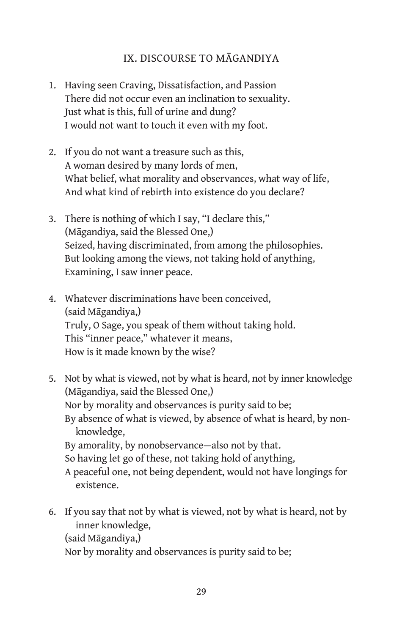#### IX. DISCOURSE TO MĀGANDIYA

- 1. Having seen Craving, Dissatisfaction, and Passion There did not occur even an inclination to sexuality. Just what is this, full of urine and dung? I would not want to touch it even with my foot.
- 2. If you do not want a treasure such as this, A woman desired by many lords of men, What belief, what morality and observances, what way of life, And what kind of rebirth into existence do you declare?
- 3. There is nothing of which I say, "I declare this," (Māgandiya, said the Blessed One,) Seized, having discriminated, from among the philosophies. But looking among the views, not taking hold of anything, Examining, I saw inner peace.
- 4. Whatever discriminations have been conceived, (said Māgandiya,) Truly, O Sage, you speak of them without taking hold. This "inner peace," whatever it means, How is it made known by the wise?
- 5. Not by what is viewed, not by what is heard, not by inner knowledge (Māgandiya, said the Blessed One,) Nor by morality and observances is purity said to be; By absence of what is viewed, by absence of what is heard, by nonknowledge, By amorality, by nonobservance—also not by that. So having let go of these, not taking hold of anything, A peaceful one, not being dependent, would not have longings for existence.
- 6. If you say that not by what is viewed, not by what is heard, not by inner knowledge, (said Māgandiya,)

Nor by morality and observances is purity said to be;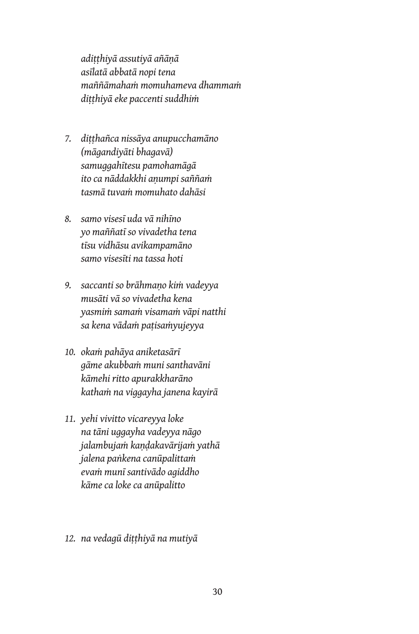*adiṭṭhiyā assutiyā añāṇā asīlatā abbatā nopi tena maññāmahaṁ momuhameva dhammaṁ diṭṭhiyā eke paccenti suddhiṁ*

- *7. diṭṭhañca nissāya anupucchamāno (māgandiyāti bhagavā) samuggahītesu pamohamāgā ito ca nāddakkhi aṇumpi saññaṁ tasmā tuvaṁ momuhato dahāsi*
- *8. samo visesī uda vā nihīno yo maññatī so vivadetha tena tīsu vidhāsu avikampamāno samo visesīti na tassa hoti*
- *9. saccanti so brāhmaṇo kiṁ vadeyya musāti vā so vivadetha kena yasmiṁ samaṁ visamaṁ vāpi natthi sa kena vādaṁ paṭisaṁyujeyya*
- *10. okaṁ pahāya aniketasārī gāme akubbaṁ muni santhavāni kāmehi ritto apurakkharāno kathaṁ na viggayha janena kayirā*
- *11. yehi vivitto vicareyya loke na tāni uggayha vadeyya nāgo jalambujaṁ kaṇḍakavārijaṁ yathā jalena paṅkena canūpalittaṁ evaṁ munī santivādo agiddho kāme ca loke ca anūpalitto*
- *12. na vedagū diṭṭhiyā na mutiyā*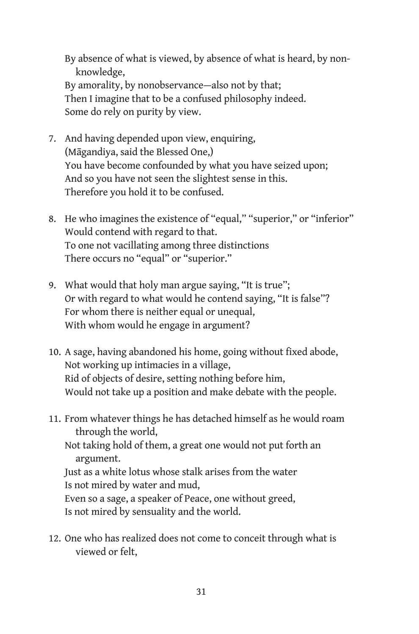By absence of what is viewed, by absence of what is heard, by nonknowledge, By amorality, by nonobservance—also not by that; Then I imagine that to be a confused philosophy indeed. Some do rely on purity by view.

- 7. And having depended upon view, enquiring, (Māgandiya, said the Blessed One,) You have become confounded by what you have seized upon; And so you have not seen the slightest sense in this. Therefore you hold it to be confused.
- 8. He who imagines the existence of "equal," "superior," or "inferior" Would contend with regard to that. To one not vacillating among three distinctions There occurs no "equal" or "superior."
- 9. What would that holy man argue saying, "It is true"; Or with regard to what would he contend saying, "It is false"? For whom there is neither equal or unequal, With whom would he engage in argument?
- 10. A sage, having abandoned his home, going without fixed abode, Not working up intimacies in a village, Rid of objects of desire, setting nothing before him, Would not take up a position and make debate with the people.
- 11. From whatever things he has detached himself as he would roam through the world, Not taking hold of them, a great one would not put forth an

argument. Just as a white lotus whose stalk arises from the water Is not mired by water and mud,

Even so a sage, a speaker of Peace, one without greed, Is not mired by sensuality and the world.

12. One who has realized does not come to conceit through what is viewed or felt,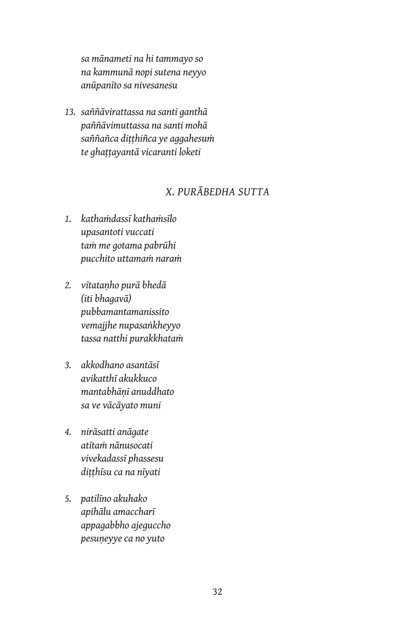*sa mānameti na hi tammayo so na kammunā nopi sutena neyyo anūpanīto sa nivesanesu*

*13. saññāvirattassa na santi ganthā paññāvimuttassa na santi mohā saññañca diṭṭhiñca ye aggahesuṁ te ghaṭṭayantā vicaranti loketi*

#### *X. PURĀBEDHA SUTTA*

- *1. kathaṁdassī kathaṁsīlo upasantoti vuccati taṁ me gotama pabrūhi pucchito uttamaṁ naraṁ*
- *2. vītataṇho purā bhedā (iti bhagavā) pubbamantamanissito vemajjhe nupasaṅkheyyo tassa natthi purakkhataṁ*
- *3. akkodhano asantāsī avikatthī akukkuco mantabhāṇī anuddhato sa ve vācāyato muni*
- *4. nirāsatti anāgate atītaṁ nānusocati vivekadassī phassesu diṭṭhīsu ca na nīyati*
- *5. patilīno akuhako apihālu amaccharī appagabbho ajeguccho pesuṇeyye ca no yuto*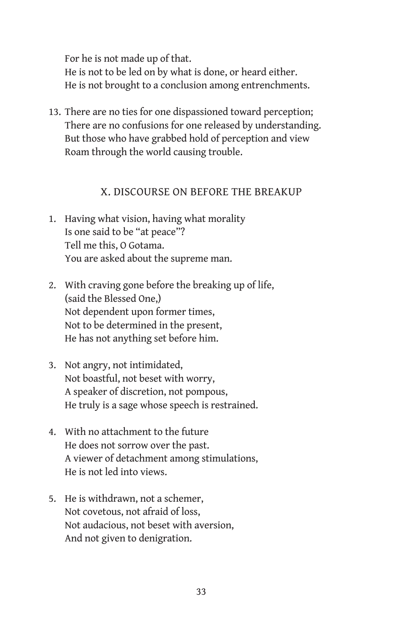For he is not made up of that. He is not to be led on by what is done, or heard either. He is not brought to a conclusion among entrenchments.

13. There are no ties for one dispassioned toward perception; There are no confusions for one released by understanding. But those who have grabbed hold of perception and view Roam through the world causing trouble.

#### X. DISCOURSE ON BEFORE THE BREAKUP

- 1. Having what vision, having what morality Is one said to be "at peace"? Tell me this, O Gotama. You are asked about the supreme man.
- 2. With craving gone before the breaking up of life, (said the Blessed One,) Not dependent upon former times, Not to be determined in the present, He has not anything set before him.
- 3. Not angry, not intimidated, Not boastful, not beset with worry, A speaker of discretion, not pompous, He truly is a sage whose speech is restrained.
- 4. With no attachment to the future He does not sorrow over the past. A viewer of detachment among stimulations, He is not led into views.
- 5. He is withdrawn, not a schemer, Not covetous, not afraid of loss, Not audacious, not beset with aversion, And not given to denigration.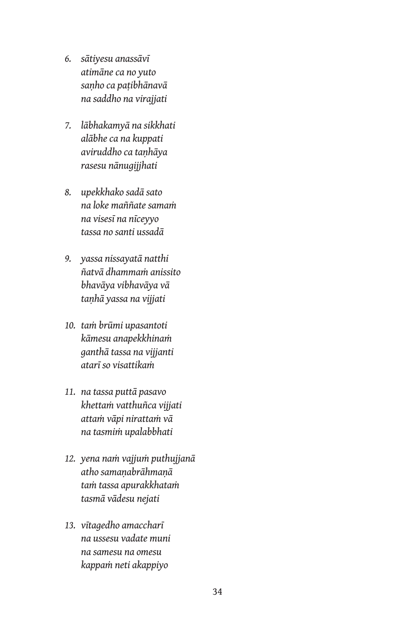- *6. sātiyesu anassāvī atimāne ca no yuto saṇho ca paṭibhānavā na saddho na virajjati*
- *7. lābhakamyā na sikkhati alābhe ca na kuppati aviruddho ca taṇhāya rasesu nānugijjhati*
- *8. upekkhako sadā sato na loke maññate samaṁ na visesī na nīceyyo tassa no santi ussadā*
- *9. yassa nissayatā natthi ñatvā dhammaṁ anissito bhavāya vibhavāya vā taṇhā yassa na vijjati*
- *10. taṁ brūmi upasantoti kāmesu anapekkhinaṁ ganthā tassa na vijjanti atarī so visattikaṁ*
- *11. na tassa puttā pasavo khettaṁ vatthuñca vijjati attaṁ vāpi nirattaṁ vā na tasmiṁ upalabbhati*
- *12. yena naṁ vajjuṁ puthujjanā atho samaṇabrāhmaṇā taṁ tassa apurakkhataṁ tasmā vādesu nejati*
- *13. vītagedho amaccharī na ussesu vadate muni na samesu na omesu kappaṁ neti akappiyo*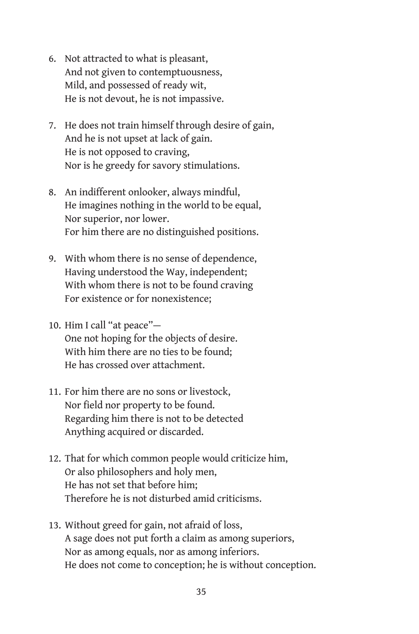- 6. Not attracted to what is pleasant, And not given to contemptuousness, Mild, and possessed of ready wit, He is not devout, he is not impassive.
- 7. He does not train himself through desire of gain, And he is not upset at lack of gain. He is not opposed to craving, Nor is he greedy for savory stimulations.
- 8. An indifferent onlooker, always mindful, He imagines nothing in the world to be equal, Nor superior, nor lower. For him there are no distinguished positions.
- 9. With whom there is no sense of dependence, Having understood the Way, independent; With whom there is not to be found craving For existence or for nonexistence;
- 10. Him I call "at peace"— One not hoping for the objects of desire. With him there are no ties to be found; He has crossed over attachment.
- 11. For him there are no sons or livestock, Nor field nor property to be found. Regarding him there is not to be detected Anything acquired or discarded.
- 12. That for which common people would criticize him, Or also philosophers and holy men, He has not set that before him; Therefore he is not disturbed amid criticisms.
- 13. Without greed for gain, not afraid of loss, A sage does not put forth a claim as among superiors, Nor as among equals, nor as among inferiors. He does not come to conception; he is without conception.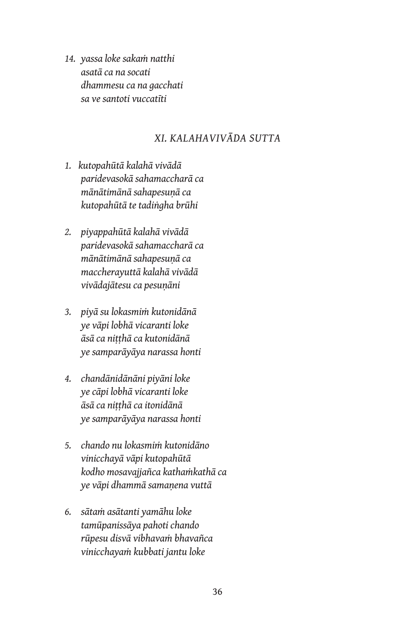*14. yassa loke sakaṁ natthi asatā ca na socati dhammesu ca na gacchati sa ve santoti vuccatīti*

## *XI. KALAHAVIVĀDA SUTTA*

- *1. kutopahūtā kalahā vivādā paridevasokā sahamaccharā ca mānātimānā sahapesuṇā ca kutopahūtā te tadiṅgha brūhi*
- *2. piyappahūtā kalahā vivādā paridevasokā sahamaccharā ca mānātimānā sahapesuṇā ca maccherayuttā kalahā vivādā vivādajātesu ca pesuṇāni*
- *3. piyā su lokasmiṁ kutonidānā ye vāpi lobhā vicaranti loke āsā ca niṭṭhā ca kutonidānā ye samparāyāya narassa honti*
- *4. chandānidānāni piyāni loke ye cāpi lobhā vicaranti loke āsā ca niṭṭhā ca itonidānā ye samparāyāya narassa honti*
- *5. chando nu lokasmiṁ kutonidāno vinicchayā vāpi kutopahūtā kodho mosavajjañca kathaṁkathā ca ye vāpi dhammā samaṇena vuttā*
- *6. sātaṁ asātanti yamāhu loke tamūpanissāya pahoti chando rūpesu disvā vibhavaṁ bhavañca vinicchayaṁ kubbati jantu loke*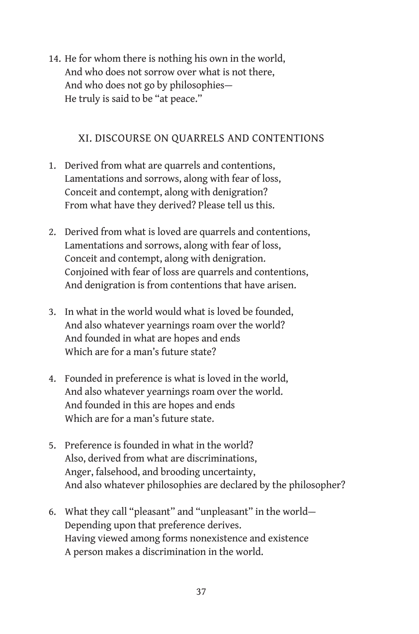14. He for whom there is nothing his own in the world, And who does not sorrow over what is not there, And who does not go by philosophies— He truly is said to be "at peace."

## XI. DISCOURSE ON QUARRELS AND CONTENTIONS

- 1. Derived from what are quarrels and contentions, Lamentations and sorrows, along with fear of loss, Conceit and contempt, along with denigration? From what have they derived? Please tell us this.
- 2. Derived from what is loved are quarrels and contentions, Lamentations and sorrows, along with fear of loss, Conceit and contempt, along with denigration. Conjoined with fear of loss are quarrels and contentions, And denigration is from contentions that have arisen.
- 3. In what in the world would what is loved be founded, And also whatever yearnings roam over the world? And founded in what are hopes and ends Which are for a man's future state?
- 4. Founded in preference is what is loved in the world, And also whatever yearnings roam over the world. And founded in this are hopes and ends Which are for a man's future state.
- 5. Preference is founded in what in the world? Also, derived from what are discriminations, Anger, falsehood, and brooding uncertainty, And also whatever philosophies are declared by the philosopher?
- 6. What they call "pleasant" and "unpleasant" in the world— Depending upon that preference derives. Having viewed among forms nonexistence and existence A person makes a discrimination in the world.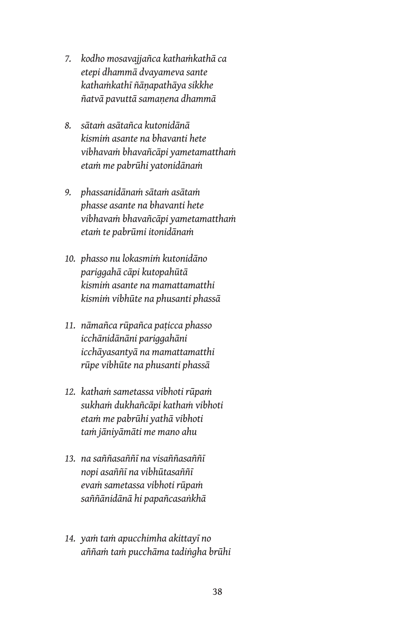- *7. kodho mosavajjañca kathaṁkathā ca etepi dhammā dvayameva sante kathaṁkathī ñāṇapathāya sikkhe ñatvā pavuttā samaṇena dhammā*
- *8. sātaṁ asātañca kutonidānā kismiṁ asante na bhavanti hete vibhavaṁ bhavañcāpi yametamatthaṁ etaṁ me pabrūhi yatonidānaṁ*
- *9. phassanidānaṁ sātaṁ asātaṁ phasse asante na bhavanti hete vibhavaṁ bhavañcāpi yametamatthaṁ etaṁ te pabrūmi itonidānaṁ*
- *10. phasso nu lokasmiṁ kutonidāno pariggahā cāpi kutopahūtā kismiṁ asante na mamattamatthi kismiṁ vibhūte na phusanti phassā*
- *11. nāmañca rūpañca paṭicca phasso icchānidānāni pariggahāni icchāyasantyā na mamattamatthi rūpe vibhūte na phusanti phassā*
- *12. kathaṁ sametassa vibhoti rūpaṁ sukhaṁ dukhañcāpi kathaṁ vibhoti etaṁ me pabrūhi yathā vibhoti taṁ jāniyāmāti me mano ahu*
- *13. na saññasaññī na visaññasaññī nopi asaññī na vibhūtasaññī evaṁ sametassa vibhoti rūpaṁ saññānidānā hi papañcasaṅkhā*
- *14. yaṁ taṁ apucchimha akittayī no aññaṁ taṁ pucchāma tadiṅgha brūhi*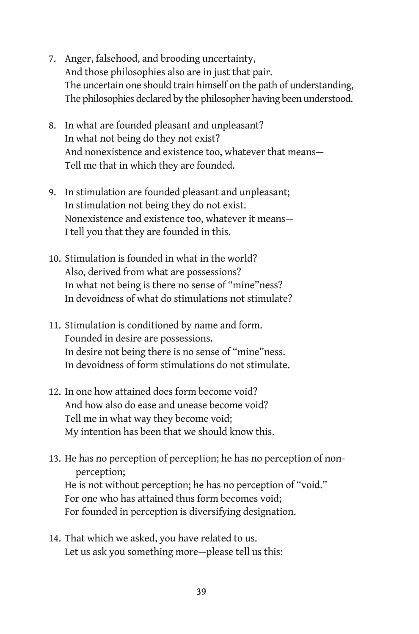- 7. Anger, falsehood, and brooding uncertainty, And those philosophies also are in just that pair. The uncertain one should train himself on the path of understanding, The philosophies declared by the philosopher having been understood.
- 8. In what are founded pleasant and unpleasant? In what not being do they not exist? And nonexistence and existence too, whatever that means— Tell me that in which they are founded.
- 9. In stimulation are founded pleasant and unpleasant; In stimulation not being they do not exist. Nonexistence and existence too, whatever it means— I tell you that they are founded in this.
- 10. Stimulation is founded in what in the world? Also, derived from what are possessions? In what not being is there no sense of "mine"ness? In devoidness of what do stimulations not stimulate?
- 11. Stimulation is conditioned by name and form. Founded in desire are possessions. In desire not being there is no sense of "mine"ness. In devoidness of form stimulations do not stimulate.
- 12. In one how attained does form become void? And how also do ease and unease become void? Tell me in what way they become void; My intention has been that we should know this.
- 13. He has no perception of perception; he has no perception of nonperception; He is not without perception; he has no perception of "void." For one who has attained thus form becomes void; For founded in perception is diversifying designation.
- 14. That which we asked, you have related to us. Let us ask you something more—please tell us this: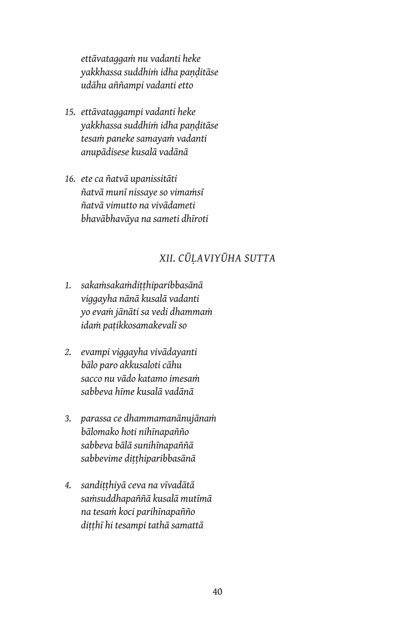*ettāvataggaṁ nu vadanti heke yakkhassa suddhiṁ idha paṇḍitāse udāhu aññampi vadanti etto*

- *15. ettāvataggampi vadanti heke yakkhassa suddhiṁ idha paṇḍitāse tesaṁ paneke samayaṁ vadanti anupādisese kusalā vadānā*
- *16. ete ca ñatvā upanissitāti ñatvā munī nissaye so vimaṁsī ñatvā vimutto na vivādameti bhavābhavāya na sameti dhīroti*

# *XII. CŪḶAVIYŪHA SUTTA*

- *1. sakaṁsakaṁdiṭṭhiparibbasānā viggayha nānā kusalā vadanti yo evaṁ jānāti sa vedi dhammaṁ idaṁ paṭikkosamakevalī so*
- *2. evampi viggayha vivādayanti bālo paro akkusaloti cāhu sacco nu vādo katamo imesaṁ sabbeva hīme kusalā vadānā*
- *3. parassa ce dhammamanānujānaṁ bālomako hoti nihīnapañño sabbeva bālā sunihīnapaññā sabbevime diṭṭhiparibbasānā*
- *4. sandiṭṭhiyā ceva na vīvadātā saṁsuddhapaññā kusalā mutīmā na tesaṁ koci parihīnapañño diṭṭhī hi tesampi tathā samattā*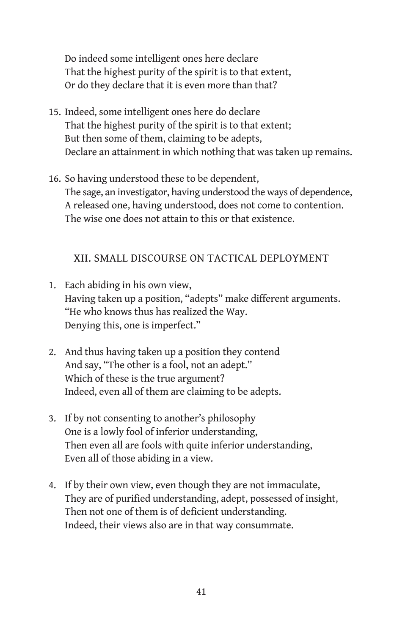Do indeed some intelligent ones here declare That the highest purity of the spirit is to that extent, Or do they declare that it is even more than that?

- 15. Indeed, some intelligent ones here do declare That the highest purity of the spirit is to that extent; But then some of them, claiming to be adepts, Declare an attainment in which nothing that was taken up remains.
- 16. So having understood these to be dependent, The sage, an investigator, having understood the ways of dependence, A released one, having understood, does not come to contention. The wise one does not attain to this or that existence.

## XII. SMALL DISCOURSE ON TACTICAL DEPLOYMENT

- 1. Each abiding in his own view, Having taken up a position, "adepts" make different arguments. "He who knows thus has realized the Way. Denying this, one is imperfect."
- 2. And thus having taken up a position they contend And say, "The other is a fool, not an adept." Which of these is the true argument? Indeed, even all of them are claiming to be adepts.
- 3. If by not consenting to another's philosophy One is a lowly fool of inferior understanding, Then even all are fools with quite inferior understanding, Even all of those abiding in a view.
- 4. If by their own view, even though they are not immaculate, They are of purified understanding, adept, possessed of insight, Then not one of them is of deficient understanding. Indeed, their views also are in that way consummate.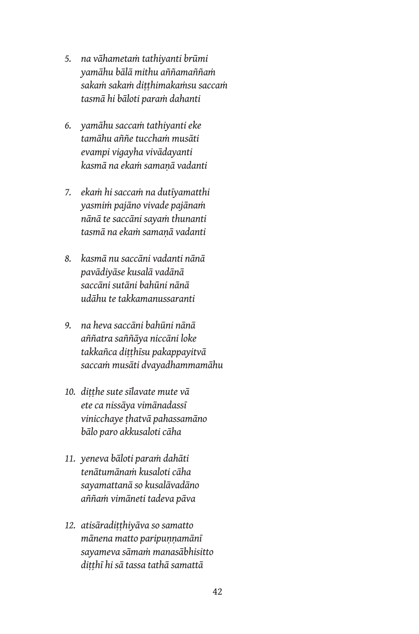- *5. na vāhametaṁ tathiyanti brūmi yamāhu bālā mithu aññamaññaṁ sakaṁ sakaṁ diṭṭhimakaṁsu saccaṁ tasmā hi bāloti paraṁ dahanti*
- *6. yamāhu saccaṁ tathiyanti eke tamāhu aññe tucchaṁ musāti evampi vigayha vivādayanti kasmā na ekaṁ samaṇā vadanti*
- *7. ekaṁ hi saccaṁ na dutīyamatthi yasmiṁ pajāno vivade pajānaṁ nānā te saccāni sayaṁ thunanti tasmā na ekaṁ samaṇā vadanti*
- *8. kasmā nu saccāni vadanti nānā pavādiyāse kusalā vadānā saccāni sutāni bahūni nānā udāhu te takkamanussaranti*
- *9. na heva saccāni bahūni nānā aññatra saññāya niccāni loke takkañca diṭṭhīsu pakappayitvā saccaṁ musāti dvayadhammamāhu*
- *10. diṭṭhe sute sīlavate mute vā ete ca nissāya vimānadassī vinicchaye ṭhatvā pahassamāno bālo paro akkusaloti cāha*
- *11. yeneva bāloti paraṁ dahāti tenātumānaṁ kusaloti cāha sayamattanā so kusalāvadāno aññaṁ vimāneti tadeva pāva*
- *12. atisāradiṭṭhiyāva so samatto mānena matto paripuṇṇamānī sayameva sāmaṁ manasābhisitto diṭṭhī hi sā tassa tathā samattā*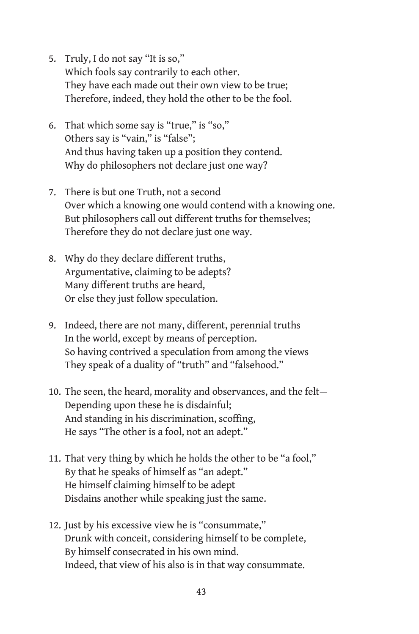- 5. Truly, I do not say "It is so," Which fools say contrarily to each other. They have each made out their own view to be true; Therefore, indeed, they hold the other to be the fool.
- 6. That which some say is "true," is "so," Others say is "vain," is "false"; And thus having taken up a position they contend. Why do philosophers not declare just one way?
- 7. There is but one Truth, not a second Over which a knowing one would contend with a knowing one. But philosophers call out different truths for themselves; Therefore they do not declare just one way.
- 8. Why do they declare different truths, Argumentative, claiming to be adepts? Many different truths are heard, Or else they just follow speculation.
- 9. Indeed, there are not many, different, perennial truths In the world, except by means of perception. So having contrived a speculation from among the views They speak of a duality of "truth" and "falsehood."
- 10. The seen, the heard, morality and observances, and the felt— Depending upon these he is disdainful; And standing in his discrimination, scoffing, He says "The other is a fool, not an adept."
- 11. That very thing by which he holds the other to be "a fool," By that he speaks of himself as "an adept." He himself claiming himself to be adept Disdains another while speaking just the same.
- 12. Just by his excessive view he is "consummate," Drunk with conceit, considering himself to be complete, By himself consecrated in his own mind. Indeed, that view of his also is in that way consummate.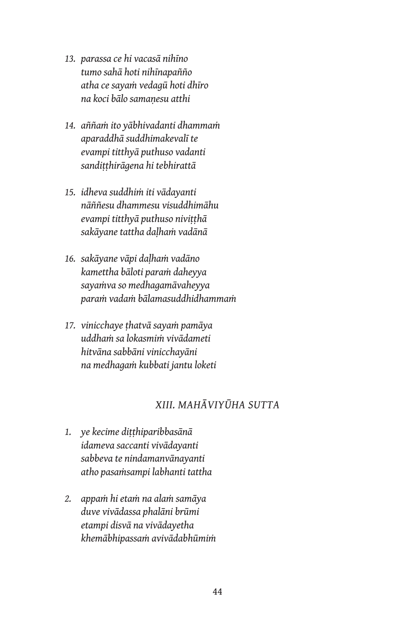- *13. parassa ce hi vacasā nihīno tumo sahā hoti nihīnapañño atha ce sayaṁ vedagū hoti dhīro na koci bālo samaṇesu atthi*
- *14. aññaṁ ito yābhivadanti dhammaṁ aparaddhā suddhimakevalī te evampi titthyā puthuso vadanti sandiṭṭhirāgena hi tebhirattā*
- *15. idheva suddhiṁ iti vādayanti nāññesu dhammesu visuddhimāhu evampi titthyā puthuso niviṭṭhā sakāyane tattha daḷhaṁ vadānā*
- *16. sakāyane vāpi daḷhaṁ vadāno kamettha bāloti paraṁ daheyya sayaṁva so medhagamāvaheyya paraṁ vadaṁ bālamasuddhidhammaṁ*
- *17. vinicchaye ṭhatvā sayaṁ pamāya uddhaṁ sa lokasmiṁ vivādameti hitvāna sabbāni vinicchayāni na medhagaṁ kubbati jantu loketi*

# *XIII. MAHĀVIYŪHA SUTTA*

- *1. ye kecime diṭṭhiparibbasānā idameva saccanti vivādayanti sabbeva te nindamanvānayanti atho pasaṁsampi labhanti tattha*
- *2. appaṁ hi etaṁ na alaṁ samāya duve vivādassa phalāni brūmi etampi disvā na vivādayetha khemābhipassaṁ avivādabhūmiṁ*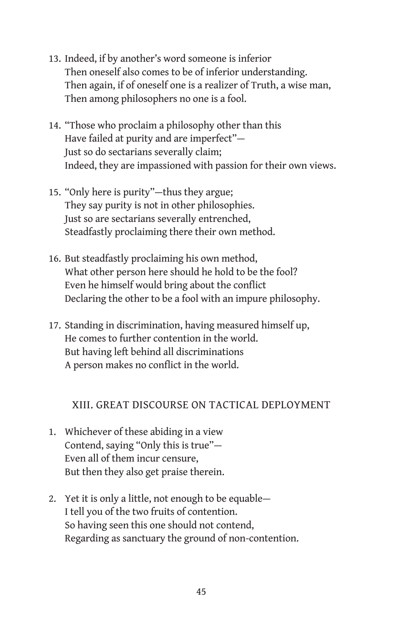- 13. Indeed, if by another's word someone is inferior Then oneself also comes to be of inferior understanding. Then again, if of oneself one is a realizer of Truth, a wise man, Then among philosophers no one is a fool.
- 14. "Those who proclaim a philosophy other than this Have failed at purity and are imperfect"— Just so do sectarians severally claim; Indeed, they are impassioned with passion for their own views.
- 15. "Only here is purity"—thus they argue; They say purity is not in other philosophies. Just so are sectarians severally entrenched, Steadfastly proclaiming there their own method.
- 16. But steadfastly proclaiming his own method, What other person here should he hold to be the fool? Even he himself would bring about the conflict Declaring the other to be a fool with an impure philosophy.
- 17. Standing in discrimination, having measured himself up, He comes to further contention in the world. But having left behind all discriminations A person makes no conflict in the world.

## XIII. GREAT DISCOURSE ON TACTICAL DEPLOYMENT

- 1. Whichever of these abiding in a view Contend, saying "Only this is true"— Even all of them incur censure, But then they also get praise therein.
- 2. Yet it is only a little, not enough to be equable— I tell you of the two fruits of contention. So having seen this one should not contend, Regarding as sanctuary the ground of non-contention.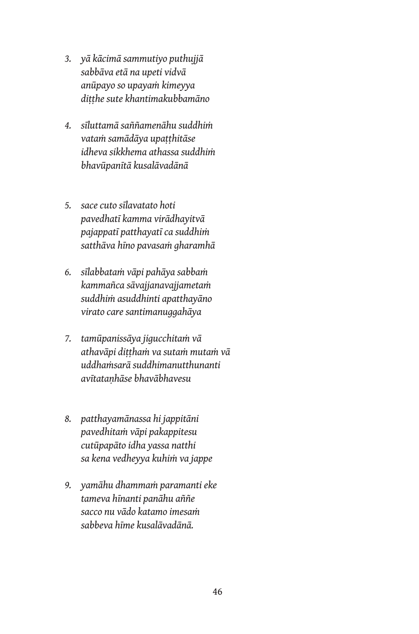- *3. yā kācimā sammutiyo puthujjā sabbāva etā na upeti vidvā anūpayo so upayaṁ kimeyya diṭṭhe sute khantimakubbamāno*
- *4. sīluttamā saññamenāhu suddhiṁ vataṁ samādāya upaṭṭhitāse idheva sikkhema athassa suddhiṁ bhavūpanītā kusalāvadānā*
- *5. sace cuto sīlavatato hoti pavedhatī kamma virādhayitvā pajappatī patthayatī ca suddhiṁ satthāva hīno pavasaṁ gharamhā*
- *6. sīlabbataṁ vāpi pahāya sabbaṁ kammañca sāvajjanavajjametaṁ suddhiṁ asuddhinti apatthayāno virato care santimanuggahāya*
- *7. tamūpanissāya jigucchitaṁ vā athavāpi diṭṭhaṁ va sutaṁ mutaṁ vā uddhaṁsarā suddhimanutthunanti avītataṇhāse bhavābhavesu*
- *8. patthayamānassa hi jappitāni pavedhitaṁ vāpi pakappitesu cutūpapāto idha yassa natthi sa kena vedheyya kuhiṁ va jappe*
- *9. yamāhu dhammaṁ paramanti eke tameva hīnanti panāhu aññe sacco nu vādo katamo imesaṁ sabbeva hīme kusalāvadānā.*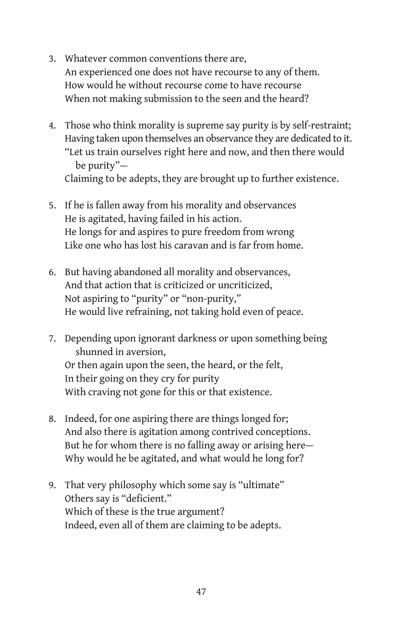- 3. Whatever common conventions there are, An experienced one does not have recourse to any of them. How would he without recourse come to have recourse When not making submission to the seen and the heard?
- 4. Those who think morality is supreme say purity is by self-restraint; Having taken upon themselves an observance they are dedicated to it. "Let us train ourselves right here and now, and then there would be purity"— Claiming to be adepts, they are brought up to further existence.
- 5. If he is fallen away from his morality and observances He is agitated, having failed in his action. He longs for and aspires to pure freedom from wrong Like one who has lost his caravan and is far from home.
- 6. But having abandoned all morality and observances, And that action that is criticized or uncriticized, Not aspiring to "purity" or "non-purity," He would live refraining, not taking hold even of peace.
- 7. Depending upon ignorant darkness or upon something being shunned in aversion, Or then again upon the seen, the heard, or the felt, In their going on they cry for purity With craving not gone for this or that existence.
- 8. Indeed, for one aspiring there are things longed for; And also there is agitation among contrived conceptions. But he for whom there is no falling away or arising here— Why would he be agitated, and what would he long for?
- 9. That very philosophy which some say is "ultimate" Others say is "deficient." Which of these is the true argument? Indeed, even all of them are claiming to be adepts.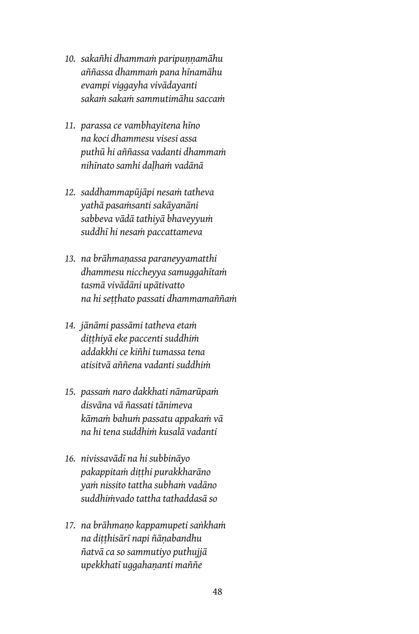- *10. sakañhi dhammaṁ paripuṇṇamāhu aññassa dhammaṁ pana hīnamāhu evampi viggayha vivādayanti sakaṁ sakaṁ sammutimāhu saccaṁ*
- *11. parassa ce vambhayitena hīno na koci dhammesu visesi assa puthū hi aññassa vadanti dhammaṁ nihīnato samhi daḷhaṁ vadānā*
- *12. saddhammapūjāpi nesaṁ tatheva yathā pasaṁsanti sakāyanāni sabbeva vādā tathiyā bhaveyyuṁ suddhī hi nesaṁ paccattameva*
- *13. na brāhmaṇassa paraneyyamatthi dhammesu niccheyya samuggahītaṁ tasmā vivādāni upātivatto na hi seṭṭhato passati dhammamaññaṁ*
- *14. jānāmi passāmi tatheva etaṁ diṭṭhiyā eke paccenti suddhiṁ addakkhi ce kiñhi tumassa tena atisitvā aññena vadanti suddhiṁ*
- *15. passaṁ naro dakkhati nāmarūpaṁ disvāna vā ñassati tānimeva kāmaṁ bahuṁ passatu appakaṁ vā na hi tena suddhiṁ kusalā vadanti*
- *16. nivissavādī na hi subbināyo pakappitaṁ diṭṭhi purakkharāno yaṁ nissito tattha subhaṁ vadāno suddhiṁvado tattha tathaddasā so*
- *17. na brāhmaṇo kappamupeti saṅkhaṁ na diṭṭhisārī napi ñāṇabandhu ñatvā ca so sammutiyo puthujjā upekkhatī uggahaṇanti maññe*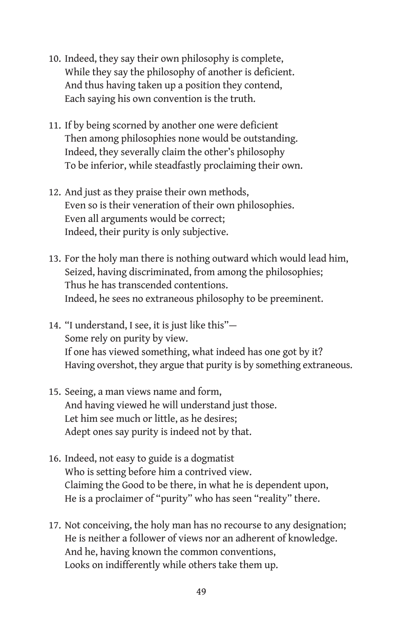- 10. Indeed, they say their own philosophy is complete, While they say the philosophy of another is deficient. And thus having taken up a position they contend, Each saying his own convention is the truth.
- 11. If by being scorned by another one were deficient Then among philosophies none would be outstanding. Indeed, they severally claim the other's philosophy To be inferior, while steadfastly proclaiming their own.
- 12. And just as they praise their own methods, Even so is their veneration of their own philosophies. Even all arguments would be correct; Indeed, their purity is only subjective.
- 13. For the holy man there is nothing outward which would lead him, Seized, having discriminated, from among the philosophies; Thus he has transcended contentions. Indeed, he sees no extraneous philosophy to be preeminent.
- 14. "I understand, I see, it is just like this"— Some rely on purity by view. If one has viewed something, what indeed has one got by it? Having overshot, they argue that purity is by something extraneous.
- 15. Seeing, a man views name and form, And having viewed he will understand just those. Let him see much or little, as he desires; Adept ones say purity is indeed not by that.
- 16. Indeed, not easy to guide is a dogmatist Who is setting before him a contrived view. Claiming the Good to be there, in what he is dependent upon, He is a proclaimer of "purity" who has seen "reality" there.
- 17. Not conceiving, the holy man has no recourse to any designation; He is neither a follower of views nor an adherent of knowledge. And he, having known the common conventions, Looks on indifferently while others take them up.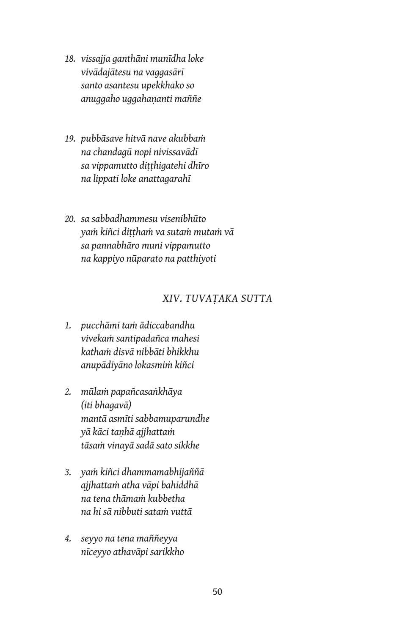- *18. vissajja ganthāni munīdha loke vivādajātesu na vaggasārī santo asantesu upekkhako so anuggaho uggahaṇanti maññe*
- *19. pubbāsave hitvā nave akubbaṁ na chandagū nopi nivissavādī sa vippamutto diṭṭhigatehi dhīro na lippati loke anattagarahī*
- *20. sa sabbadhammesu visenibhūto yaṁ kiñci diṭṭhaṁ va sutaṁ mutaṁ vā sa pannabhāro muni vippamutto na kappiyo nūparato na patthiyoti*

### *XIV. TUVAṬAKA SUTTA*

- *1. pucchāmi taṁ ādiccabandhu vivekaṁ santipadañca mahesi kathaṁ disvā nibbāti bhikkhu anupādiyāno lokasmiṁ kiñci*
- *2. mūlaṁ papañcasaṅkhāya (iti bhagavā) mantā asmīti sabbamuparundhe yā kāci taṇhā ajjhattaṁ tāsaṁ vinayā sadā sato sikkhe*
- *3. yaṁ kiñci dhammamabhijaññā ajjhattaṁ atha vāpi bahiddhā na tena thāmaṁ kubbetha na hi sā nibbuti sataṁ vuttā*
- *4. seyyo na tena maññeyya nīceyyo athavāpi sarikkho*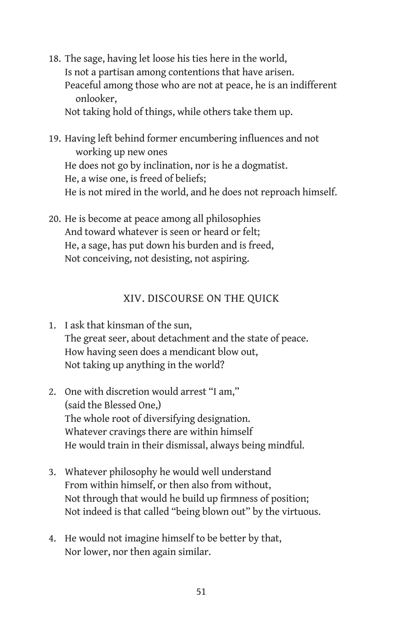- 18. The sage, having let loose his ties here in the world, Is not a partisan among contentions that have arisen. Peaceful among those who are not at peace, he is an indifferent onlooker, Not taking hold of things, while others take them up.
- 19. Having left behind former encumbering influences and not working up new ones He does not go by inclination, nor is he a dogmatist. He, a wise one, is freed of beliefs; He is not mired in the world, and he does not reproach himself.
- 20. He is become at peace among all philosophies And toward whatever is seen or heard or felt; He, a sage, has put down his burden and is freed, Not conceiving, not desisting, not aspiring.

# XIV. DISCOURSE ON THE QUICK

- 1. I ask that kinsman of the sun, The great seer, about detachment and the state of peace. How having seen does a mendicant blow out, Not taking up anything in the world?
- 2. One with discretion would arrest "I am," (said the Blessed One,) The whole root of diversifying designation. Whatever cravings there are within himself He would train in their dismissal, always being mindful.
- 3. Whatever philosophy he would well understand From within himself, or then also from without, Not through that would he build up firmness of position; Not indeed is that called "being blown out" by the virtuous.
- 4. He would not imagine himself to be better by that, Nor lower, nor then again similar.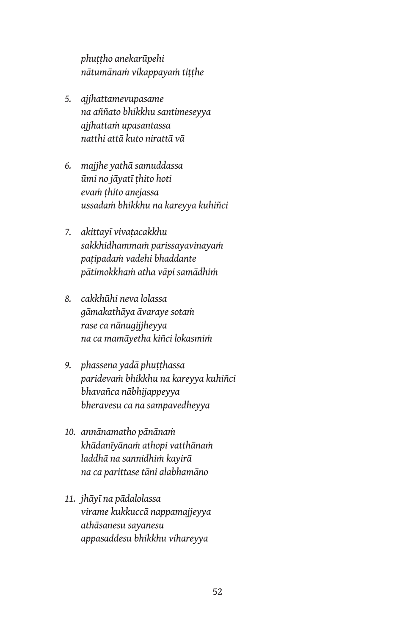*phuṭṭho anekarūpehi nātumānaṁ vikappayaṁ tiṭṭhe*

- *5. ajjhattamevupasame na aññato bhikkhu santimeseyya ajjhattaṁ upasantassa natthi attā kuto nirattā vā*
- *6. majjhe yathā samuddassa ūmi no jāyatī ṭhito hoti evaṁ ṭhito anejassa ussadaṁ bhikkhu na kareyya kuhiñci*
- *7. akittayī vivaṭacakkhu sakkhidhammaṁ parissayavinayaṁ paṭipadaṁ vadehi bhaddante pātimokkhaṁ atha vāpi samādhiṁ*
- *8. cakkhūhi neva lolassa gāmakathāya āvaraye sotaṁ rase ca nānugijjheyya na ca mamāyetha kiñci lokasmiṁ*
- *9. phassena yadā phuṭṭhassa paridevaṁ bhikkhu na kareyya kuhiñci bhavañca nābhijappeyya bheravesu ca na sampavedheyya*
- *10. annānamatho pānānaṁ khādanīyānaṁ athopi vatthānaṁ laddhā na sannidhiṁ kayirā na ca parittase tāni alabhamāno*
- *11. jhāyī na pādalolassa virame kukkuccā nappamajjeyya athāsanesu sayanesu appasaddesu bhikkhu vihareyya*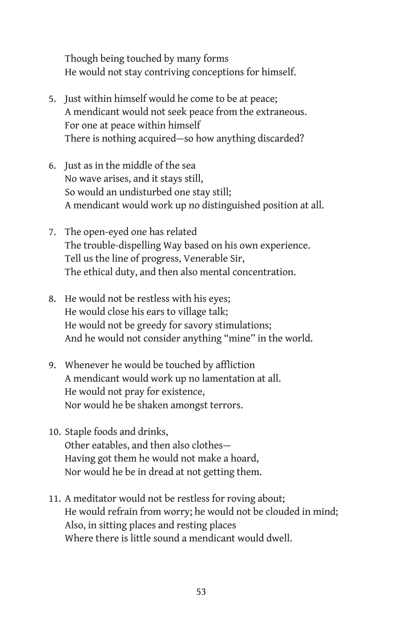Though being touched by many forms He would not stay contriving conceptions for himself.

- 5. Just within himself would he come to be at peace; A mendicant would not seek peace from the extraneous. For one at peace within himself There is nothing acquired—so how anything discarded?
- 6. Just as in the middle of the sea No wave arises, and it stays still, So would an undisturbed one stay still; A mendicant would work up no distinguished position at all.
- 7. The open-eyed one has related The trouble-dispelling Way based on his own experience. Tell us the line of progress, Venerable Sir, The ethical duty, and then also mental concentration.
- 8. He would not be restless with his eyes; He would close his ears to village talk; He would not be greedy for savory stimulations; And he would not consider anything "mine" in the world.
- 9. Whenever he would be touched by affliction A mendicant would work up no lamentation at all. He would not pray for existence, Nor would he be shaken amongst terrors.
- 10. Staple foods and drinks, Other eatables, and then also clothes— Having got them he would not make a hoard, Nor would he be in dread at not getting them.
- 11. A meditator would not be restless for roving about; He would refrain from worry; he would not be clouded in mind; Also, in sitting places and resting places Where there is little sound a mendicant would dwell.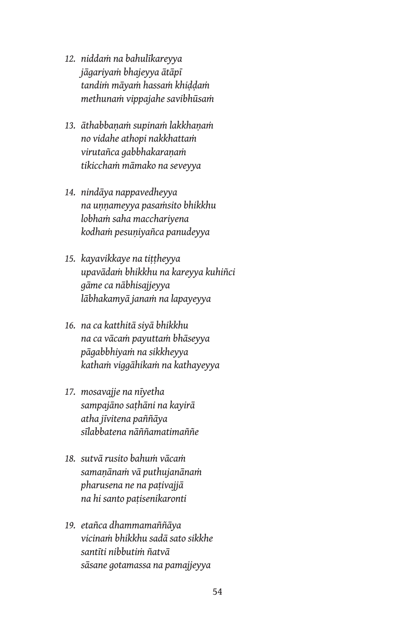- *12. niddaṁ na bahulīkareyya jāgariyaṁ bhajeyya ātāpī tandiṁ māyaṁ hassaṁ khiḍḍaṁ methunaṁ vippajahe savibhūsaṁ*
- *13. āthabbaṇaṁ supinaṁ lakkhaṇaṁ no vidahe athopi nakkhattaṁ virutañca gabbhakaraṇaṁ tikicchaṁ māmako na seveyya*
- *14. nindāya nappavedheyya na uṇṇameyya pasaṁsito bhikkhu lobhaṁ saha macchariyena kodhaṁ pesuṇiyañca panudeyya*
- *15. kayavikkaye na tiṭṭheyya upavādaṁ bhikkhu na kareyya kuhiñci gāme ca nābhisajjeyya lābhakamyā janaṁ na lapayeyya*
- *16. na ca katthitā siyā bhikkhu na ca vācaṁ payuttaṁ bhāseyya pāgabbhiyaṁ na sikkheyya kathaṁ viggāhikaṁ na kathayeyya*
- *17. mosavajje na nīyetha sampajāno saṭhāni na kayirā atha jīvitena paññāya sīlabbatena nāññamatimaññe*
- *18. sutvā rusito bahuṁ vācaṁ samaṇānaṁ vā puthujanānaṁ pharusena ne na paṭivajjā na hi santo paṭisenikaronti*
- *19. etañca dhammamaññāya vicinaṁ bhikkhu sadā sato sikkhe santīti nibbutiṁ ñatvā sāsane gotamassa na pamajjeyya*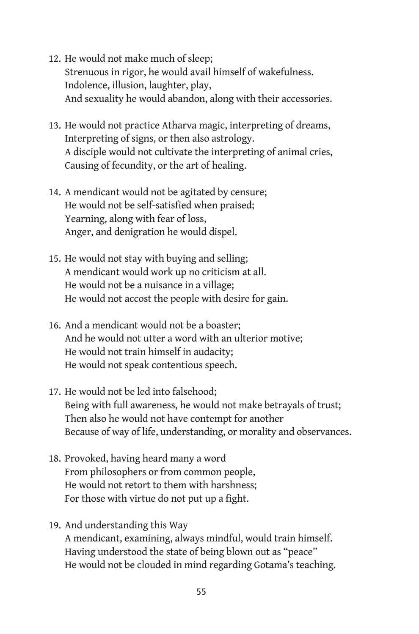- 12. He would not make much of sleep; Strenuous in rigor, he would avail himself of wakefulness. Indolence, illusion, laughter, play, And sexuality he would abandon, along with their accessories.
- 13. He would not practice Atharva magic, interpreting of dreams, Interpreting of signs, or then also astrology. A disciple would not cultivate the interpreting of animal cries, Causing of fecundity, or the art of healing.
- 14. A mendicant would not be agitated by censure; He would not be self-satisfied when praised; Yearning, along with fear of loss, Anger, and denigration he would dispel.
- 15. He would not stay with buying and selling; A mendicant would work up no criticism at all. He would not be a nuisance in a village; He would not accost the people with desire for gain.
- 16. And a mendicant would not be a boaster; And he would not utter a word with an ulterior motive; He would not train himself in audacity; He would not speak contentious speech.
- 17. He would not be led into falsehood; Being with full awareness, he would not make betrayals of trust; Then also he would not have contempt for another Because of way of life, understanding, or morality and observances.
- 18. Provoked, having heard many a word From philosophers or from common people, He would not retort to them with harshness; For those with virtue do not put up a fight.
- 19. And understanding this Way A mendicant, examining, always mindful, would train himself. Having understood the state of being blown out as "peace" He would not be clouded in mind regarding Gotama's teaching.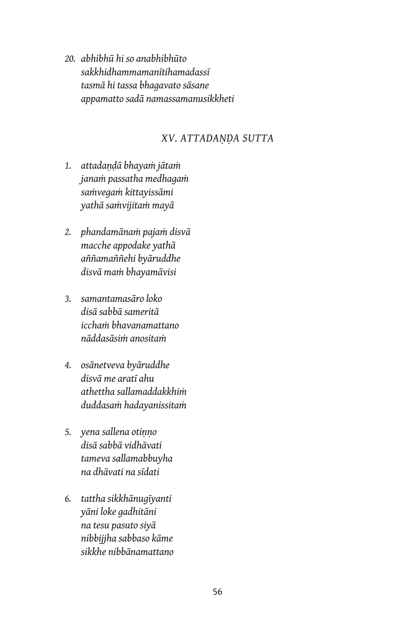*20. abhibhū hi so anabhibhūto sakkhidhammamanītihamadassī tasmā hi tassa bhagavato sāsane appamatto sadā namassamanusikkheti*

#### *XV. ATTADAṆḌA SUTTA*

- *1. attadaṇḍā bhayaṁ jātaṁ janaṁ passatha medhagaṁ saṁvegaṁ kittayissāmi yathā saṁvijitaṁ mayā*
- *2. phandamānaṁ pajaṁ disvā macche appodake yathā aññamaññehi byāruddhe disvā maṁ bhayamāvisi*
- *3. samantamasāro loko disā sabbā sameritā icchaṁ bhavanamattano nāddasāsiṁ anositaṁ*
- *4. osānetveva byāruddhe disvā me aratī ahu athettha sallamaddakkhiṁ duddasaṁ hadayanissitaṁ*
- *5. yena sallena otiṇṇo disā sabbā vidhāvati tameva sallamabbuyha na dhāvati na sīdati*
- *6. tattha sikkhānugīyanti yāni loke gadhitāni na tesu pasuto siyā nibbijjha sabbaso kāme sikkhe nibbānamattano*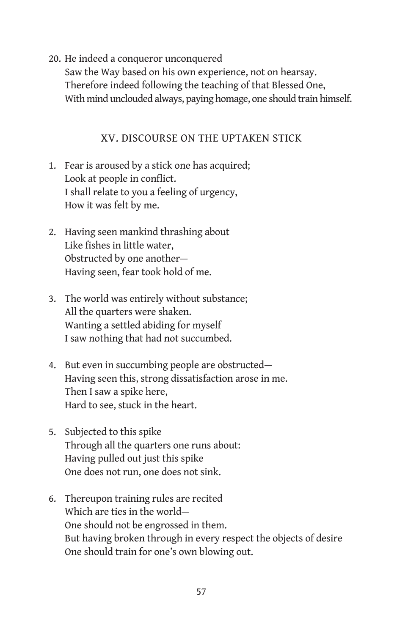20. He indeed a conqueror unconquered

Saw the Way based on his own experience, not on hearsay. Therefore indeed following the teaching of that Blessed One, With mind unclouded always, paying homage, one should train himself.

## XV. DISCOURSE ON THE UPTAKEN STICK

- 1. Fear is aroused by a stick one has acquired; Look at people in conflict. I shall relate to you a feeling of urgency, How it was felt by me.
- 2. Having seen mankind thrashing about Like fishes in little water, Obstructed by one another— Having seen, fear took hold of me.
- 3. The world was entirely without substance; All the quarters were shaken. Wanting a settled abiding for myself I saw nothing that had not succumbed.
- 4. But even in succumbing people are obstructed— Having seen this, strong dissatisfaction arose in me. Then I saw a spike here, Hard to see, stuck in the heart.
- 5. Subjected to this spike Through all the quarters one runs about: Having pulled out just this spike One does not run, one does not sink.
- 6. Thereupon training rules are recited Which are ties in the world— One should not be engrossed in them. But having broken through in every respect the objects of desire One should train for one's own blowing out.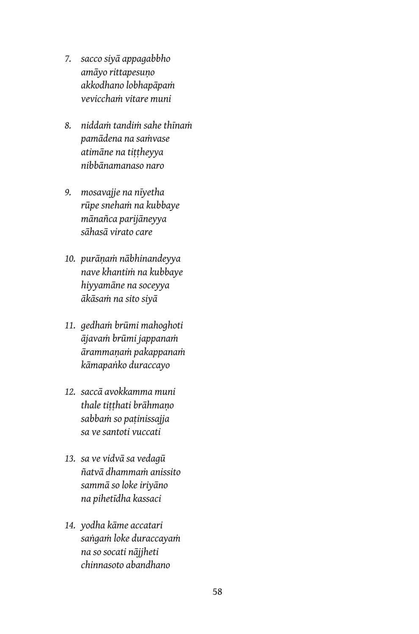- *7. sacco siyā appagabbho amāyo rittapesuṇo akkodhano lobhapāpaṁ vevicchaṁ vitare muni*
- *8. niddaṁ tandiṁ sahe thīnaṁ pamādena na saṁvase atimāne na tiṭṭheyya nibbānamanaso naro*
- *9. mosavajje na nīyetha rūpe snehaṁ na kubbaye mānañca parijāneyya sāhasā virato care*
- *10. purāṇaṁ nābhinandeyya nave khantiṁ na kubbaye hiyyamāne na soceyya ākāsaṁ na sito siyā*
- *11. gedhaṁ brūmi mahoghoti ājavaṁ brūmi jappanaṁ ārammaṇaṁ pakappanaṁ kāmapaṅko duraccayo*
- *12. saccā avokkamma muni thale tiṭṭhati brāhmaṇo sabbaṁ so paṭinissajja sa ve santoti vuccati*
- *13. sa ve vidvā sa vedagū ñatvā dhammaṁ anissito sammā so loke iriyāno na pihetīdha kassaci*
- *14. yodha kāme accatari saṅgaṁ loke duraccayaṁ na so socati nājjheti chinnasoto abandhano*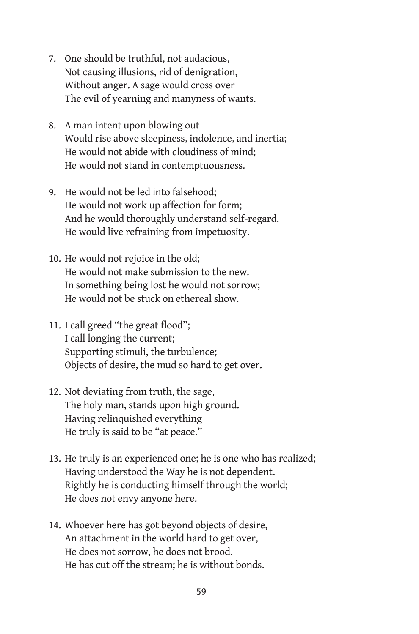- 7. One should be truthful, not audacious, Not causing illusions, rid of denigration, Without anger. A sage would cross over The evil of yearning and manyness of wants.
- 8. A man intent upon blowing out Would rise above sleepiness, indolence, and inertia; He would not abide with cloudiness of mind; He would not stand in contemptuousness.
- 9. He would not be led into falsehood; He would not work up affection for form; And he would thoroughly understand self-regard. He would live refraining from impetuosity.
- 10. He would not rejoice in the old; He would not make submission to the new. In something being lost he would not sorrow; He would not be stuck on ethereal show.
- 11. I call greed "the great flood"; I call longing the current; Supporting stimuli, the turbulence; Objects of desire, the mud so hard to get over.
- 12. Not deviating from truth, the sage, The holy man, stands upon high ground. Having relinquished everything He truly is said to be "at peace."
- 13. He truly is an experienced one; he is one who has realized; Having understood the Way he is not dependent. Rightly he is conducting himself through the world; He does not envy anyone here.
- 14. Whoever here has got beyond objects of desire, An attachment in the world hard to get over, He does not sorrow, he does not brood. He has cut off the stream; he is without bonds.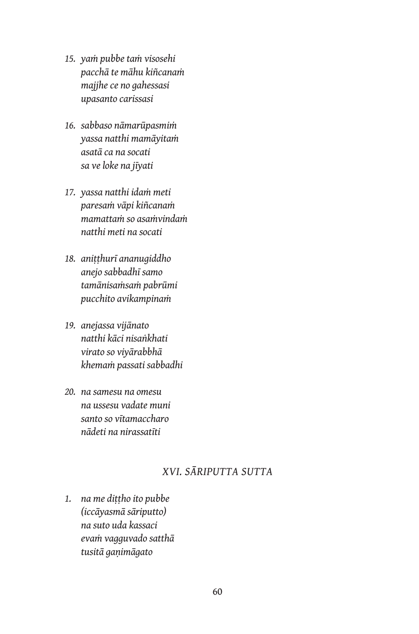- *15. yaṁ pubbe taṁ visosehi pacchā te māhu kiñcanaṁ majjhe ce no gahessasi upasanto carissasi*
- *16. sabbaso nāmarūpasmiṁ yassa natthi mamāyitaṁ asatā ca na socati sa ve loke na jīyati*
- *17. yassa natthi idaṁ meti paresaṁ vāpi kiñcanaṁ mamattaṁ so asaṁvindaṁ natthi meti na socati*
- *18. aniṭṭhurī ananugiddho anejo sabbadhī samo tamānisaṁsaṁ pabrūmi pucchito avikampinaṁ*
- *19. anejassa vijānato natthi kāci nisaṅkhati virato so viyārabbhā khemaṁ passati sabbadhi*
- *20. na samesu na omesu na ussesu vadate muni santo so vītamaccharo nādeti na nirassatīti*

# *XVI. SĀRIPUTTA SUTTA*

*1. na me diṭṭho ito pubbe (iccāyasmā sāriputto) na suto uda kassaci evaṁ vagguvado satthā tusitā gaṇimāgato*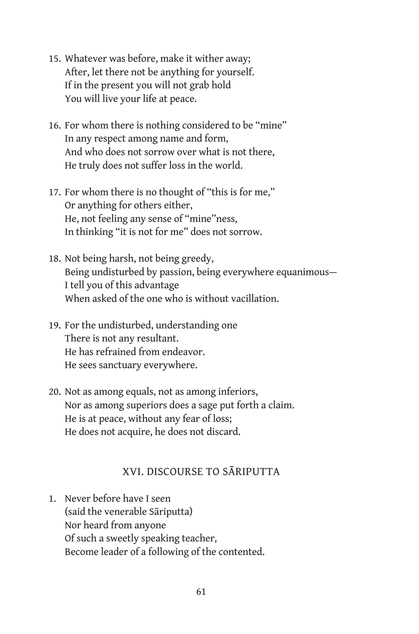- 15. Whatever was before, make it wither away; After, let there not be anything for yourself. If in the present you will not grab hold You will live your life at peace.
- 16. For whom there is nothing considered to be "mine" In any respect among name and form, And who does not sorrow over what is not there, He truly does not suffer loss in the world.
- 17. For whom there is no thought of "this is for me," Or anything for others either, He, not feeling any sense of "mine"ness, In thinking "it is not for me" does not sorrow.
- 18. Not being harsh, not being greedy, Being undisturbed by passion, being everywhere equanimous— I tell you of this advantage When asked of the one who is without vacillation.
- 19. For the undisturbed, understanding one There is not any resultant. He has refrained from endeavor. He sees sanctuary everywhere.
- 20. Not as among equals, not as among inferiors, Nor as among superiors does a sage put forth a claim. He is at peace, without any fear of loss; He does not acquire, he does not discard.

## XVI. DISCOURSE TO SĀRIPUTTA

1. Never before have I seen (said the venerable Sāriputta) Nor heard from anyone Of such a sweetly speaking teacher, Become leader of a following of the contented.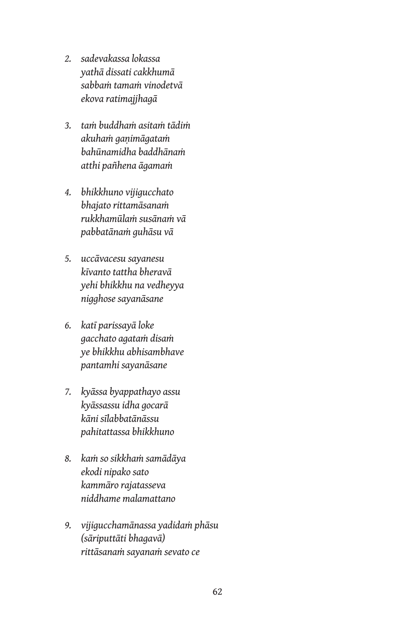- *2. sadevakassa lokassa yathā dissati cakkhumā sabbaṁ tamaṁ vinodetvā ekova ratimajjhagā*
- *3. taṁ buddhaṁ asitaṁ tādiṁ akuhaṁ gaṇimāgataṁ bahūnamidha baddhānaṁ atthi pañhena āgamaṁ*
- *4. bhikkhuno vijigucchato bhajato rittamāsanaṁ rukkhamūlaṁ susānaṁ vā pabbatānaṁ guhāsu vā*
- *5. uccāvacesu sayanesu kīvanto tattha bheravā yehi bhikkhu na vedheyya nigghose sayanāsane*
- *6. katī parissayā loke gacchato agataṁ disaṁ ye bhikkhu abhisambhave pantamhi sayanāsane*
- *7. kyāssa byappathayo assu kyāssassu idha gocarā kāni sīlabbatānāssu pahitattassa bhikkhuno*
- *8. kaṁ so sikkhaṁ samādāya ekodi nipako sato kammāro rajatasseva niddhame malamattano*
- *9. vijigucchamānassa yadidaṁ phāsu (sāriputtāti bhagavā) rittāsanaṁ sayanaṁ sevato ce*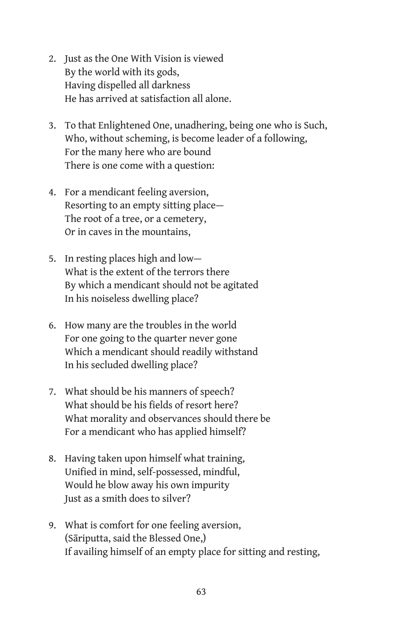- 2. Just as the One With Vision is viewed By the world with its gods, Having dispelled all darkness He has arrived at satisfaction all alone.
- 3. To that Enlightened One, unadhering, being one who is Such, Who, without scheming, is become leader of a following, For the many here who are bound There is one come with a question:
- 4. For a mendicant feeling aversion, Resorting to an empty sitting place— The root of a tree, or a cemetery, Or in caves in the mountains,
- 5. In resting places high and low— What is the extent of the terrors there By which a mendicant should not be agitated In his noiseless dwelling place?
- 6. How many are the troubles in the world For one going to the quarter never gone Which a mendicant should readily withstand In his secluded dwelling place?
- 7. What should be his manners of speech? What should be his fields of resort here? What morality and observances should there be For a mendicant who has applied himself?
- 8. Having taken upon himself what training, Unified in mind, self-possessed, mindful, Would he blow away his own impurity Just as a smith does to silver?
- 9. What is comfort for one feeling aversion, (Sāriputta, said the Blessed One,) If availing himself of an empty place for sitting and resting,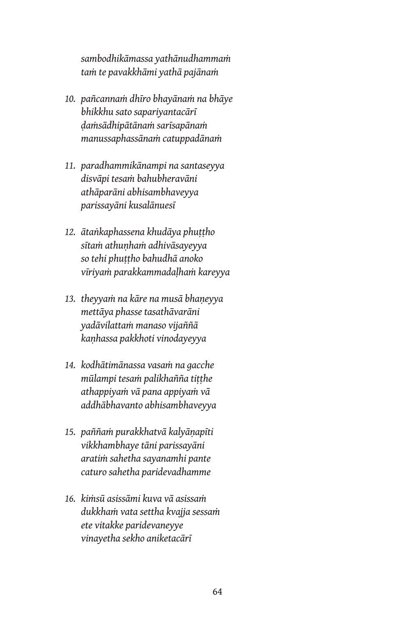*sambodhikāmassa yathānudhammaṁ taṁ te pavakkhāmi yathā pajānaṁ*

- *10. pañcannaṁ dhīro bhayānaṁ na bhāye bhikkhu sato sapariyantacārī ḍaṁsādhipātānaṁ sarīsapānaṁ manussaphassānaṁ catuppadānaṁ*
- *11. paradhammikānampi na santaseyya disvāpi tesaṁ bahubheravāni athāparāni abhisambhaveyya parissayāni kusalānuesī*
- *12. ātaṅkaphassena khudāya phuṭṭho sītaṁ athuṇhaṁ adhivāsayeyya so tehi phuṭṭho bahudhā anoko vīriyaṁ parakkammadaḷhaṁ kareyya*
- *13. theyyaṁ na kāre na musā bhaṇeyya mettāya phasse tasathāvarāni yadāvilattaṁ manaso vijaññā kaṇhassa pakkhoti vinodayeyya*
- *14. kodhātimānassa vasaṁ na gacche mūlampi tesaṁ palikhañña tiṭṭhe athappiyaṁ vā pana appiyaṁ vā addhābhavanto abhisambhaveyya*
- *15. paññaṁ purakkhatvā kalyāṇapīti vikkhambhaye tāni parissayāni aratiṁ sahetha sayanamhi pante caturo sahetha paridevadhamme*
- *16. kiṁsū asissāmi kuva vā asissaṁ dukkhaṁ vata settha kvajja sessaṁ ete vitakke paridevaneyye vinayetha sekho aniketacārī*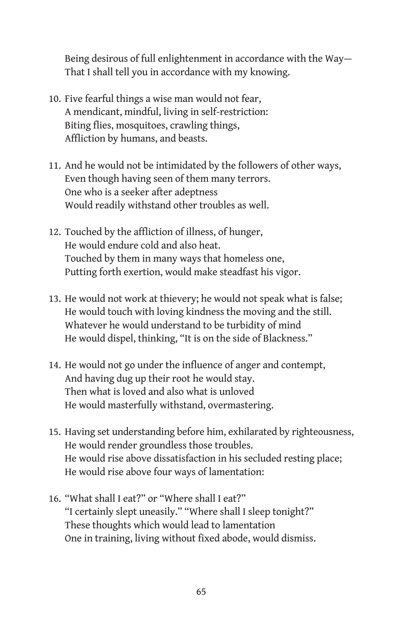Being desirous of full enlightenment in accordance with the Way— That I shall tell you in accordance with my knowing.

- 10. Five fearful things a wise man would not fear, A mendicant, mindful, living in self-restriction: Biting flies, mosquitoes, crawling things, Affliction by humans, and beasts.
- 11. And he would not be intimidated by the followers of other ways, Even though having seen of them many terrors. One who is a seeker after adeptness Would readily withstand other troubles as well.
- 12. Touched by the affliction of illness, of hunger, He would endure cold and also heat. Touched by them in many ways that homeless one, Putting forth exertion, would make steadfast his vigor.
- 13. He would not work at thievery; he would not speak what is false; He would touch with loving kindness the moving and the still. Whatever he would understand to be turbidity of mind He would dispel, thinking, "It is on the side of Blackness."
- 14. He would not go under the influence of anger and contempt, And having dug up their root he would stay. Then what is loved and also what is unloved He would masterfully withstand, overmastering.
- 15. Having set understanding before him, exhilarated by righteousness, He would render groundless those troubles. He would rise above dissatisfaction in his secluded resting place; He would rise above four ways of lamentation:
- 16. "What shall I eat?" or "Where shall I eat?" "I certainly slept uneasily." "Where shall I sleep tonight?" These thoughts which would lead to lamentation One in training, living without fixed abode, would dismiss.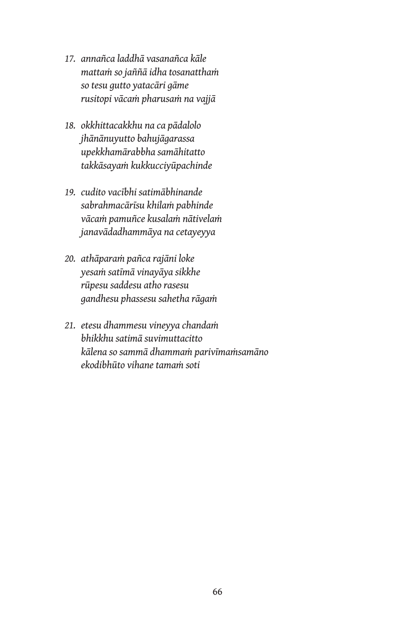- *17. annañca laddhā vasanañca kāle mattaṁ so jaññā idha tosanatthaṁ so tesu gutto yatacāri gāme rusitopi vācaṁ pharusaṁ na vajjā*
- *18. okkhittacakkhu na ca pādalolo jhānānuyutto bahujāgarassa upekkhamārabbha samāhitatto takkāsayaṁ kukkucciyūpachinde*
- *19. cudito vacībhi satimābhinande sabrahmacārīsu khilaṁ pabhinde vācaṁ pamuñce kusalaṁ nātivelaṁ janavādadhammāya na cetayeyya*
- *20. athāparaṁ pañca rajāni loke yesaṁ satīmā vinayāya sikkhe rūpesu saddesu atho rasesu gandhesu phassesu sahetha rāgaṁ*
- *21. etesu dhammesu vineyya chandaṁ bhikkhu satimā suvimuttacitto kālena so sammā dhammaṁ parivīmaṁsamāno ekodibhūto vihane tamaṁ soti*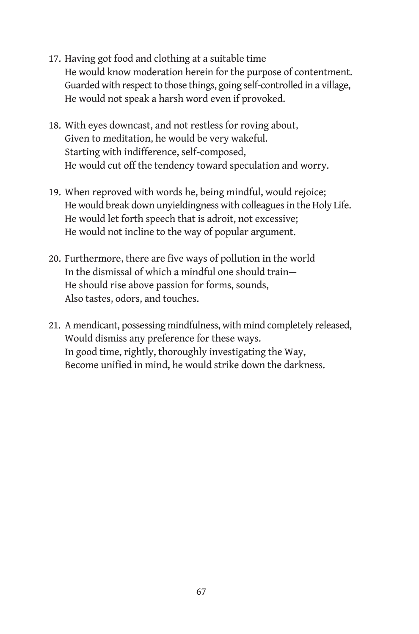- 17. Having got food and clothing at a suitable time He would know moderation herein for the purpose of contentment. Guarded with respect to those things, going self-controlled in a village, He would not speak a harsh word even if provoked.
- 18. With eyes downcast, and not restless for roving about, Given to meditation, he would be very wakeful. Starting with indifference, self-composed, He would cut off the tendency toward speculation and worry.
- 19. When reproved with words he, being mindful, would rejoice; He would break down unyieldingness with colleagues in the Holy Life. He would let forth speech that is adroit, not excessive; He would not incline to the way of popular argument.
- 20. Furthermore, there are five ways of pollution in the world In the dismissal of which a mindful one should train— He should rise above passion for forms, sounds, Also tastes, odors, and touches.
- 21. A mendicant, possessing mindfulness, with mind completely released, Would dismiss any preference for these ways. In good time, rightly, thoroughly investigating the Way, Become unified in mind, he would strike down the darkness.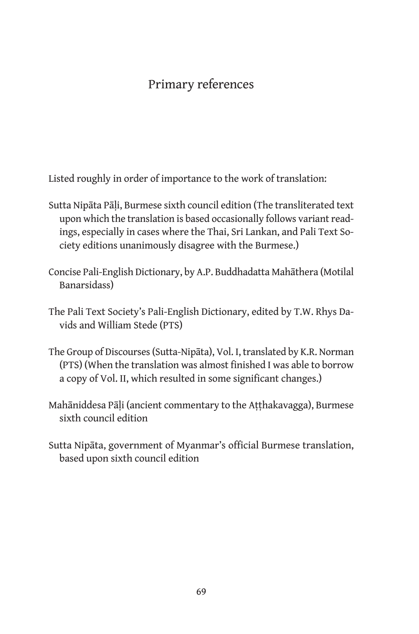# Primary references

Listed roughly in order of importance to the work of translation:

- Sutta Nipāta Pāḷi, Burmese sixth council edition (The transliterated text upon which the translation is based occasionally follows variant readings, especially in cases where the Thai, Sri Lankan, and Pali Text Society editions unanimously disagree with the Burmese.)
- Concise Pali-English Dictionary, by A.P. Buddhadatta Mahāthera (Motilal Banarsidass)
- The Pali Text Society's Pali-English Dictionary, edited by T.W. Rhys Davids and William Stede (PTS)
- The Group of Discourses (Sutta-Nipāta), Vol. I, translated by K.R. Norman (PTS) (When the translation was almost finished I was able to borrow a copy of Vol. II, which resulted in some significant changes.)
- Mahāniddesa Pāli (ancient commentary to the Atthakavagga), Burmese sixth council edition
- Sutta Nipāta, government of Myanmar's official Burmese translation, based upon sixth council edition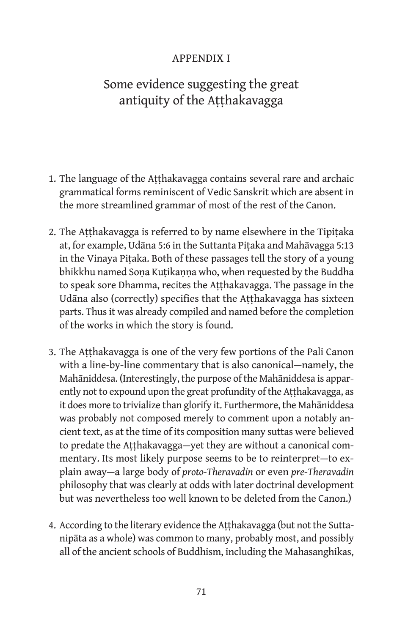## Appendix I

# Some evidence suggesting the great antiquity of the Aṭṭhakavagga

- 1. The language of the Aṭṭhakavagga contains several rare and archaic grammatical forms reminiscent of Vedic Sanskrit which are absent in the more streamlined grammar of most of the rest of the Canon.
- 2. The Aṭṭhakavagga is referred to by name elsewhere in the Tipiṭaka at, for example, Udāna 5:6 in the Suttanta Piṭaka and Mahāvagga 5:13 in the Vinaya Piṭaka. Both of these passages tell the story of a young bhikkhu named Soṇa Kuṭikaṇṇa who, when requested by the Buddha to speak sore Dhamma, recites the Atthakavagga. The passage in the Udāna also (correctly) specifies that the Aṭṭhakavagga has sixteen parts. Thus it was already compiled and named before the completion of the works in which the story is found.
- 3. The Aṭṭhakavagga is one of the very few portions of the Pali Canon with a line-by-line commentary that is also canonical—namely, the Mahāniddesa. (Interestingly, the purpose of the Mahāniddesa is apparently not to expound upon the great profundity of the Aṭṭhakavagga, as it does more to trivialize than glorify it. Furthermore, the Mahāniddesa was probably not composed merely to comment upon a notably ancient text, as at the time of its composition many suttas were believed to predate the Aṭṭhakavagga—yet they are without a canonical commentary. Its most likely purpose seems to be to reinterpret—to explain away—a large body of *proto-Theravadin* or even *pre-Theravadin* philosophy that was clearly at odds with later doctrinal development but was nevertheless too well known to be deleted from the Canon.)
- 4. According to the literary evidence the Aṭṭhakavagga (but not the Suttanipāta as a whole) was common to many, probably most, and possibly all of the ancient schools of Buddhism, including the Mahasanghikas,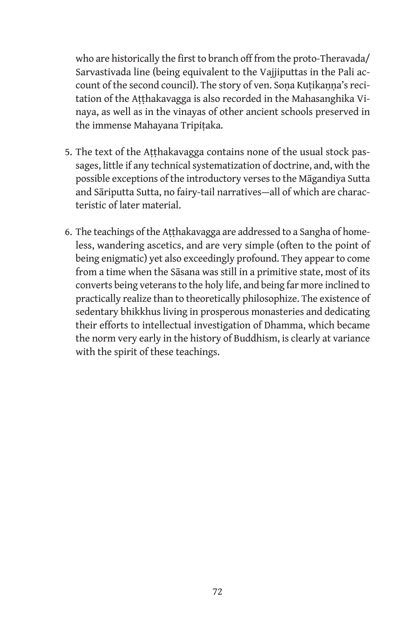who are historically the first to branch off from the proto-Theravada/ Sarvastivada line (being equivalent to the Vajjiputtas in the Pali account of the second council). The story of ven. Sona Kutikanna's recitation of the Aṭṭhakavagga is also recorded in the Mahasanghika Vinaya, as well as in the vinayas of other ancient schools preserved in the immense Mahayana Tripitaka.

- 5. The text of the Aṭṭhakavagga contains none of the usual stock passages, little if any technical systematization of doctrine, and, with the possible exceptions of the introductory verses to the Māgandiya Sutta and Sāriputta Sutta, no fairy-tail narratives—all of which are characteristic of later material.
- 6. The teachings of the Aṭṭhakavagga are addressed to a Sangha of homeless, wandering ascetics, and are very simple (often to the point of being enigmatic) yet also exceedingly profound. They appear to come from a time when the Sāsana was still in a primitive state, most of its converts being veterans to the holy life, and being far more inclined to practically realize than to theoretically philosophize. The existence of sedentary bhikkhus living in prosperous monasteries and dedicating their efforts to intellectual investigation of Dhamma, which became the norm very early in the history of Buddhism, is clearly at variance with the spirit of these teachings.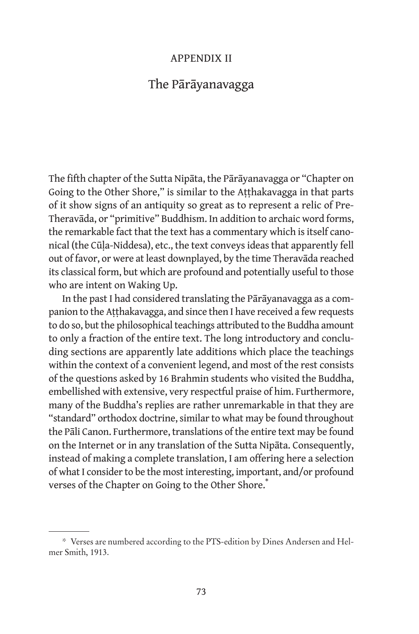#### Appendix II

# The Pārāyanavagga

The fifth chapter of the Sutta Nipāta, the Pārāyanavagga or "Chapter on Going to the Other Shore," is similar to the Aṭṭhakavagga in that parts of it show signs of an antiquity so great as to represent a relic of Pre-Theravāda, or "primitive" Buddhism. In addition to archaic word forms, the remarkable fact that the text has a commentary which is itself canonical (the Cūḷa-Niddesa), etc., the text conveys ideas that apparently fell out of favor, or were at least downplayed, by the time Theravāda reached its classical form, but which are profound and potentially useful to those who are intent on Waking Up.

In the past I had considered translating the Pārāyanavagga as a companion to the Aṭṭhakavagga, and since then I have received a few requests to do so, but the philosophical teachings attributed to the Buddha amount to only a fraction of the entire text. The long introductory and concluding sections are apparently late additions which place the teachings within the context of a convenient legend, and most of the rest consists of the questions asked by 16 Brahmin students who visited the Buddha, embellished with extensive, very respectful praise of him. Furthermore, many of the Buddha's replies are rather unremarkable in that they are "standard" orthodox doctrine, similar to what may be found throughout the Pāli Canon. Furthermore, translations of the entire text may be found on the Internet or in any translation of the Sutta Nipāta. Consequently, instead of making a complete translation, I am offering here a selection of what I consider to be the most interesting, important, and/or profound verses of the Chapter on Going to the Other Shore.

<sup>\*</sup> Verses are numbered according to the PTS-edition by Dines Andersen and Helmer Smith, 1913.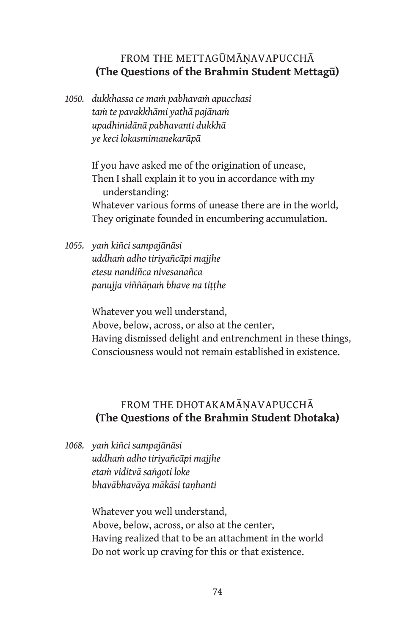## FROM THE METTAGŪMĀNAVAPUCCHĀ **(The Questions of the Brahmin Student Mettagū)**

*1050. dukkhassa ce maṁ pabhavaṁ apucchasi taṁ te pavakkhāmi yathā pajānaṁ upadhinidānā pabhavanti dukkhā ye keci lokasmimanekarūpā*

> If you have asked me of the origination of unease, Then I shall explain it to you in accordance with my understanding: Whatever various forms of unease there are in the world, They originate founded in encumbering accumulation.

*1055. yaṁ kiñci sampajānāsi uddhaṁ adho tiriyañcāpi majjhe etesu nandiñca nivesanañca panujja viññāṇaṁ bhave na tiṭṭhe*

> Whatever you well understand, Above, below, across, or also at the center, Having dismissed delight and entrenchment in these things, Consciousness would not remain established in existence.

# FROM THE DHOTAKAMĀŅAVAPUCCHĀ **(The Questions of the Brahmin Student Dhotaka)**

*1068. yaṁ kiñci sampajānāsi uddhaṁ adho tiriyañcāpi majjhe etaṁ viditvā saṅgoti loke bhavābhavāya mākāsi taṇhanti*

> Whatever you well understand, Above, below, across, or also at the center, Having realized that to be an attachment in the world Do not work up craving for this or that existence.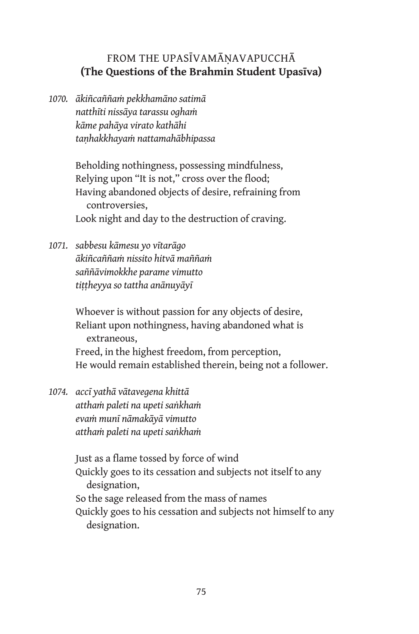### FROM THE UPASĪVAMĀNAVAPUCCHĀ **(The Questions of the Brahmin Student Upasīva)**

*1070. ākiñcaññaṁ pekkhamāno satimā natthīti nissāya tarassu oghaṁ kāme pahāya virato kathāhi taṇhakkhayaṁ nattamahābhipassa*

> Beholding nothingness, possessing mindfulness, Relying upon "It is not," cross over the flood; Having abandoned objects of desire, refraining from controversies, Look night and day to the destruction of craving.

*1071. sabbesu kāmesu yo vītarāgo ākiñcaññaṁ nissito hitvā maññaṁ saññāvimokkhe parame vimutto tiṭṭheyya so tattha anānuyāyī*

> Whoever is without passion for any objects of desire, Reliant upon nothingness, having abandoned what is extraneous, Freed, in the highest freedom, from perception, He would remain established therein, being not a follower.

*1074. accī yathā vātavegena khittā atthaṁ paleti na upeti saṅkhaṁ evaṁ munī nāmakāyā vimutto atthaṁ paleti na upeti saṅkhaṁ*

> Just as a flame tossed by force of wind Quickly goes to its cessation and subjects not itself to any designation, So the sage released from the mass of names Quickly goes to his cessation and subjects not himself to any designation.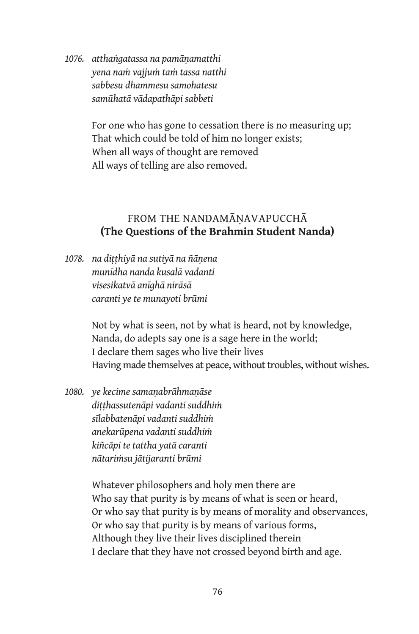*1076. atthaṅgatassa na pamāṇamatthi yena naṁ vajjuṁ taṁ tassa natthi sabbesu dhammesu samohatesu samūhatā vādapathāpi sabbeti*

> For one who has gone to cessation there is no measuring up; That which could be told of him no longer exists; When all ways of thought are removed All ways of telling are also removed.

#### FROM THE NANDAMĀNAVAPUCCHĀ **(The Questions of the Brahmin Student Nanda)**

*1078. na diṭṭhiyā na sutiyā na ñāṇena munīdha nanda kusalā vadanti visesikatvā anīghā nirāsā caranti ye te munayoti brūmi*

> Not by what is seen, not by what is heard, not by knowledge, Nanda, do adepts say one is a sage here in the world; I declare them sages who live their lives Having made themselves at peace, without troubles, without wishes.

*1080. ye kecime samaṇabrāhmaṇāse diṭṭhassutenāpi vadanti suddhiṁ sīlabbatenāpi vadanti suddhiṁ anekarūpena vadanti suddhiṁ kiñcāpi te tattha yatā caranti nātariṁsu jātijaranti brūmi*

> Whatever philosophers and holy men there are Who say that purity is by means of what is seen or heard, Or who say that purity is by means of morality and observances, Or who say that purity is by means of various forms, Although they live their lives disciplined therein I declare that they have not crossed beyond birth and age.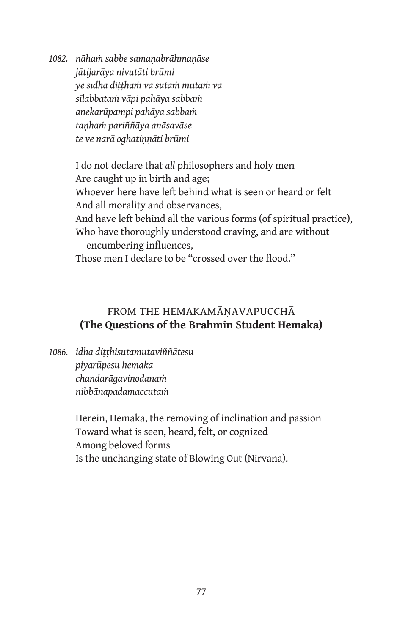*1082. nāhaṁ sabbe samaṇabrāhmaṇāse jātijarāya nivutāti brūmi ye sīdha diṭṭhaṁ va sutaṁ mutaṁ vā sīlabbataṁ vāpi pahāya sabbaṁ anekarūpampi pahāya sabbaṁ taṇhaṁ pariññāya anāsavāse te ve narā oghatiṇṇāti brūmi*

> I do not declare that *all* philosophers and holy men Are caught up in birth and age; Whoever here have left behind what is seen or heard or felt And all morality and observances, And have left behind all the various forms (of spiritual practice), Who have thoroughly understood craving, and are without encumbering influences, Those men I declare to be "crossed over the flood."

## FROM THE HEMAKAMĀNAVAPUCCHĀ **(The Questions of the Brahmin Student Hemaka)**

*1086. idha diṭṭhisutamutaviññātesu piyarūpesu hemaka chandarāgavinodanaṁ nibbānapadamaccutaṁ*

> Herein, Hemaka, the removing of inclination and passion Toward what is seen, heard, felt, or cognized Among beloved forms Is the unchanging state of Blowing Out (Nirvana).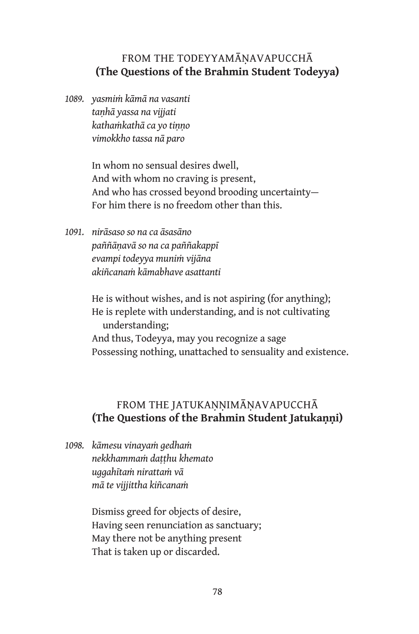#### FROM THE TODEYYAMĀNAVAPUCCHĀ **(The Questions of the Brahmin Student Todeyya)**

*1089. yasmiṁ kāmā na vasanti taṇhā yassa na vijjati kathaṁkathā ca yo tiṇṇo vimokkho tassa nā paro*

> In whom no sensual desires dwell, And with whom no craving is present, And who has crossed beyond brooding uncertainty— For him there is no freedom other than this.

*1091. nirāsaso so na ca āsasāno paññāṇavā so na ca paññakappī evampi todeyya muniṁ vijāna akiñcanaṁ kāmabhave asattanti*

> He is without wishes, and is not aspiring (for anything); He is replete with understanding, and is not cultivating understanding; And thus, Todeyya, may you recognize a sage Possessing nothing, unattached to sensuality and existence.

### FROM THE JATUKANNIMĀNAVAPUCCHĀ **(The Questions of the Brahmin Student Jatukaṇṇi)**

*1098. kāmesu vinayaṁ gedhaṁ nekkhammaṁ daṭṭhu khemato uggahītaṁ nirattaṁ vā mā te vijjittha kiñcanaṁ*

> Dismiss greed for objects of desire, Having seen renunciation as sanctuary; May there not be anything present That is taken up or discarded.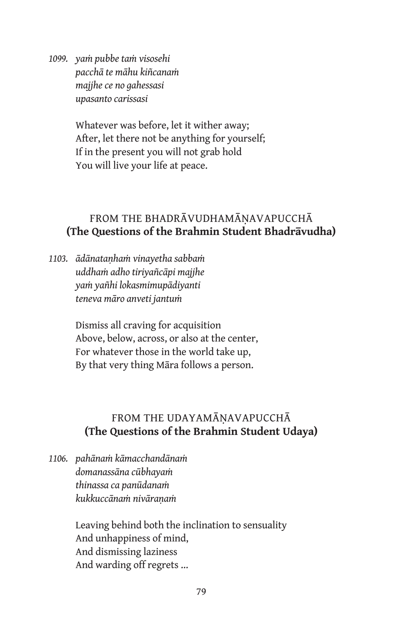*1099. yaṁ pubbe taṁ visosehi pacchā te māhu kiñcanaṁ majjhe ce no gahessasi upasanto carissasi*

> Whatever was before, let it wither away; After, let there not be anything for yourself; If in the present you will not grab hold You will live your life at peace.

# FROM THE BHADRĀVUDHAMĀNAVAPUCCHĀ **(The Questions of the Brahmin Student Bhadrāvudha)**

*1103. ādānataṇhaṁ vinayetha sabbaṁ uddhaṁ adho tiriyañcāpi majjhe yaṁ yañhi lokasmimupādiyanti teneva māro anveti jantuṁ*

> Dismiss all craving for acquisition Above, below, across, or also at the center, For whatever those in the world take up, By that very thing Māra follows a person.

# FROM THE UDAYAMĀNAVAPUCCHĀ **(The Questions of the Brahmin Student Udaya)**

*1106. pahānaṁ kāmacchandānaṁ domanassāna cūbhayaṁ thinassa ca panūdanaṁ kukkuccānaṁ nivāraṇaṁ*

> Leaving behind both the inclination to sensuality And unhappiness of mind, And dismissing laziness And warding off regrets …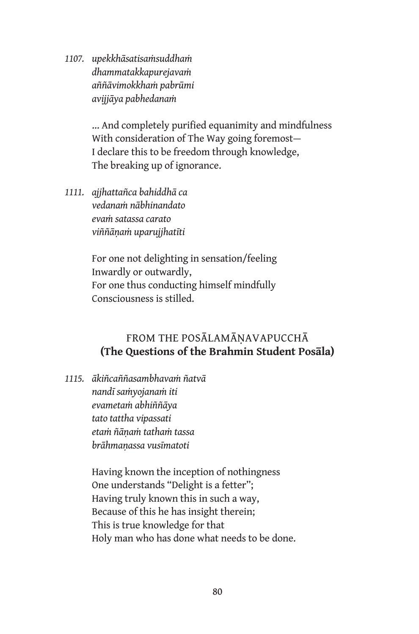*1107. upekkhāsatisaṁsuddhaṁ dhammatakkapurejavaṁ aññāvimokkhaṁ pabrūmi avijjāya pabhedanaṁ*

> … And completely purified equanimity and mindfulness With consideration of The Way going foremost— I declare this to be freedom through knowledge, The breaking up of ignorance.

*1111. ajjhattañca bahiddhā ca vedanaṁ nābhinandato evaṁ satassa carato viññāṇaṁ uparujjhatīti*

> For one not delighting in sensation/feeling Inwardly or outwardly, For one thus conducting himself mindfully Consciousness is stilled.

# FROM THE POSĀLAMĀNAVAPUCCHĀ **(The Questions of the Brahmin Student Posāla)**

*1115. ākiñcaññasambhavaṁ ñatvā nandī saṁyojanaṁ iti evametaṁ abhiññāya tato tattha vipassati etaṁ ñāṇaṁ tathaṁ tassa brāhmaṇassa vusīmatoti*

> Having known the inception of nothingness One understands "Delight is a fetter"; Having truly known this in such a way, Because of this he has insight therein; This is true knowledge for that Holy man who has done what needs to be done.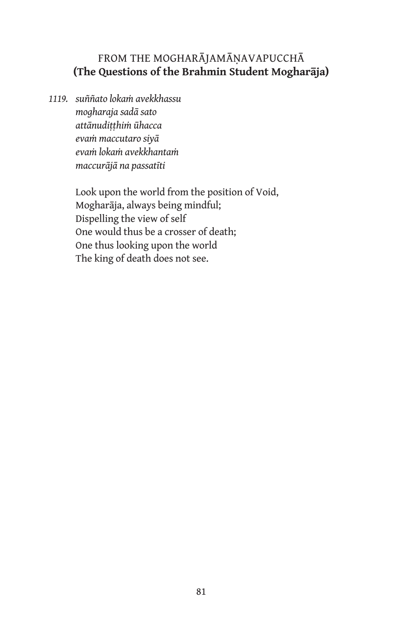# From the Mogharājamāṇavapucchā **(The Questions of the Brahmin Student Mogharāja)**

*1119. suññato lokaṁ avekkhassu mogharaja sadā sato attānudiṭṭhiṁ ūhacca evaṁ maccutaro siyā evaṁ lokaṁ avekkhantaṁ maccurājā na passatīti*

> Look upon the world from the position of Void, Mogharāja, always being mindful; Dispelling the view of self One would thus be a crosser of death; One thus looking upon the world The king of death does not see.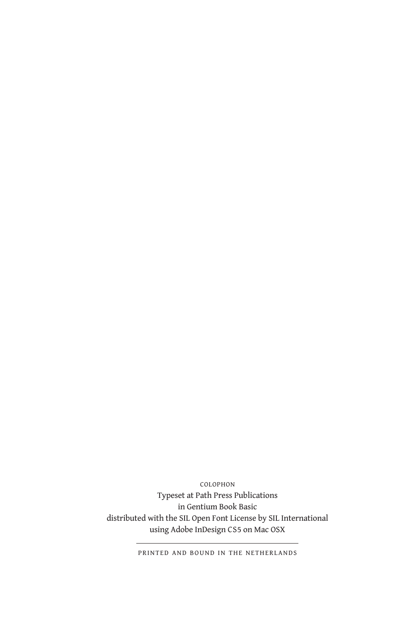colophon Typeset at Path Press Publications in Gentium Book Basic distributed with the SIL Open Font License by SIL International using Adobe InDesign CS5 on Mac OSX

printed and bound in the netherlands